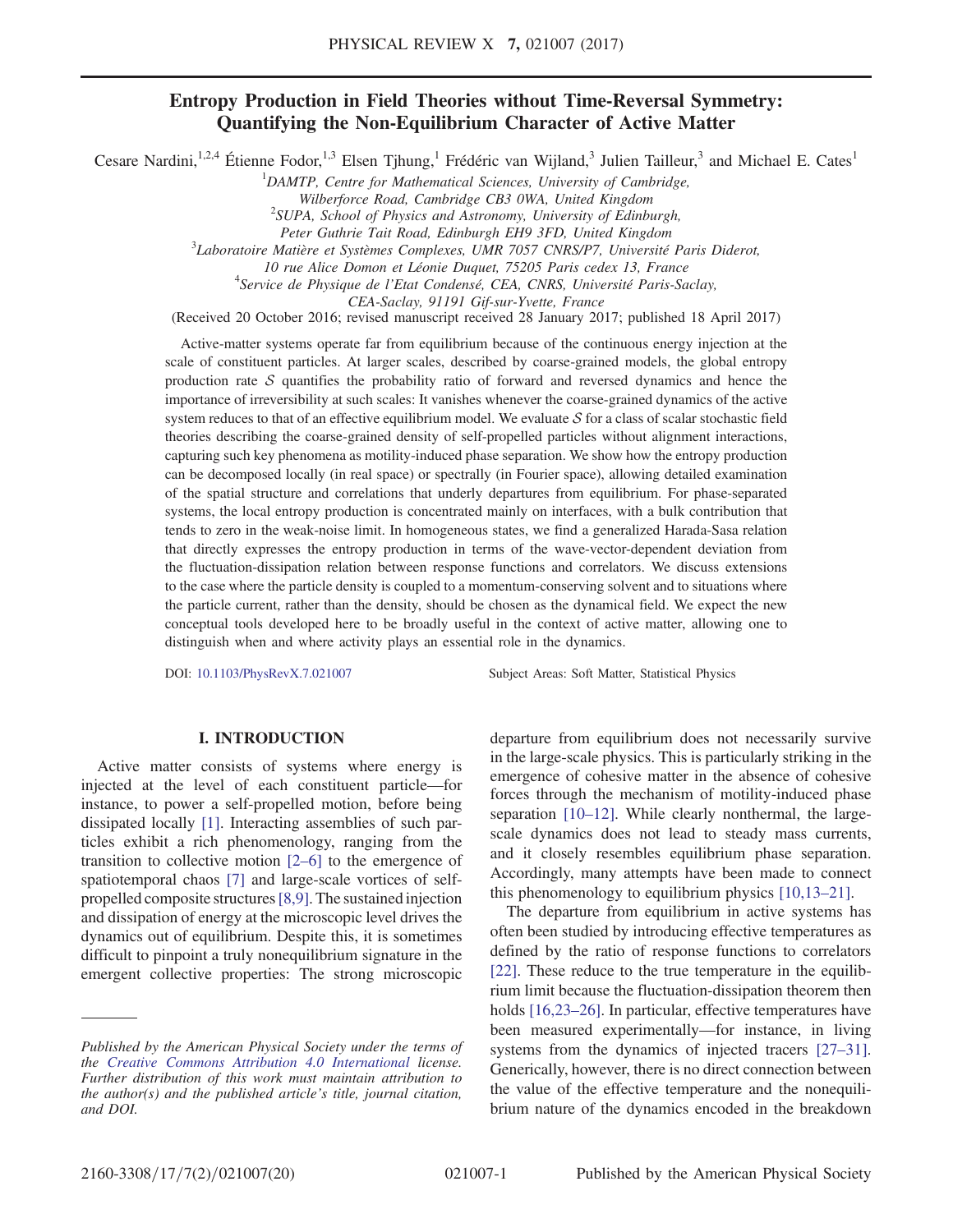# Entropy Production in Field Theories without Time-Reversal Symmetry: Quantifying the Non-Equilibrium Character of Active Matter

Cesare Nardini,<sup>1,2,4</sup> Étienne Fodor,<sup>1,3</sup> Elsen Tjhung,<sup>1</sup> Frédéric van Wijland,<sup>3</sup> Julien Tailleur,<sup>3</sup> and Michael E. Cates<sup>1</sup>

<sup>1</sup>DAMTP, Centre for Mathematical Sciences, University of Cambridge,

Wilberforce Road, Cambridge CB3 0WA, United Kingdom <sup>2</sup>  $2$ SUPA, School of Physics and Astronomy, University of Edinburgh,

Peter Guthrie Tait Road, Edinburgh EH9 3FD, United Kingdom

<sup>3</sup>Laboratoire Matière et Systèmes Complexes, UMR 7057 CNRS/P7, Université Paris Diderot,

10 rue Alice Domon et Léonie Duquet, 75205 Paris cedex 13, France <sup>4</sup>

<sup>4</sup>Service de Physique de l'Etat Condensé, CEA, CNRS, Université Paris-Saclay,

CEA-Saclay, 91191 Gif-sur-Yvette, France

(Received 20 October 2016; revised manuscript received 28 January 2017; published 18 April 2017)

Active-matter systems operate far from equilibrium because of the continuous energy injection at the scale of constituent particles. At larger scales, described by coarse-grained models, the global entropy production rate  $S$  quantifies the probability ratio of forward and reversed dynamics and hence the importance of irreversibility at such scales: It vanishes whenever the coarse-grained dynamics of the active system reduces to that of an effective equilibrium model. We evaluate  $S$  for a class of scalar stochastic field theories describing the coarse-grained density of self-propelled particles without alignment interactions, capturing such key phenomena as motility-induced phase separation. We show how the entropy production can be decomposed locally (in real space) or spectrally (in Fourier space), allowing detailed examination of the spatial structure and correlations that underly departures from equilibrium. For phase-separated systems, the local entropy production is concentrated mainly on interfaces, with a bulk contribution that tends to zero in the weak-noise limit. In homogeneous states, we find a generalized Harada-Sasa relation that directly expresses the entropy production in terms of the wave-vector-dependent deviation from the fluctuation-dissipation relation between response functions and correlators. We discuss extensions to the case where the particle density is coupled to a momentum-conserving solvent and to situations where the particle current, rather than the density, should be chosen as the dynamical field. We expect the new conceptual tools developed here to be broadly useful in the context of active matter, allowing one to distinguish when and where activity plays an essential role in the dynamics.

DOI: [10.1103/PhysRevX.7.021007](https://doi.org/10.1103/PhysRevX.7.021007) Subject Areas: Soft Matter, Statistical Physics

#### I. INTRODUCTION

<span id="page-0-0"></span>Active matter consists of systems where energy is injected at the level of each constituent particle—for instance, to power a self-propelled motion, before being dissipated locally [\[1\]](#page-16-0). Interacting assemblies of such particles exhibit a rich phenomenology, ranging from the transition to collective motion [\[2](#page-16-1)–6] to the emergence of spatiotemporal chaos [\[7\]](#page-16-2) and large-scale vortices of selfpropelled composite structures[\[8,9\].](#page-16-3) The sustained injection and dissipation of energy at the microscopic level drives the dynamics out of equilibrium. Despite this, it is sometimes difficult to pinpoint a truly nonequilibrium signature in the emergent collective properties: The strong microscopic

departure from equilibrium does not necessarily survive in the large-scale physics. This is particularly striking in the emergence of cohesive matter in the absence of cohesive forces through the mechanism of motility-induced phase separation [\[10](#page-16-4)–12]. While clearly nonthermal, the largescale dynamics does not lead to steady mass currents, and it closely resembles equilibrium phase separation. Accordingly, many attempts have been made to connect this phenomenology to equilibrium physics [\[10,13](#page-16-4)–21].

The departure from equilibrium in active systems has often been studied by introducing effective temperatures as defined by the ratio of response functions to correlators [\[22\]](#page-16-5). These reduce to the true temperature in the equilibrium limit because the fluctuation-dissipation theorem then holds [\[16,23](#page-16-6)–26]. In particular, effective temperatures have been measured experimentally—for instance, in living systems from the dynamics of injected tracers [\[27](#page-17-0)–31]. Generically, however, there is no direct connection between the value of the effective temperature and the nonequilibrium nature of the dynamics encoded in the breakdown

Published by the American Physical Society under the terms of the [Creative Commons Attribution 4.0 International](https://creativecommons.org/licenses/by/4.0/) license. Further distribution of this work must maintain attribution to the author(s) and the published article's title, journal citation, and DOI.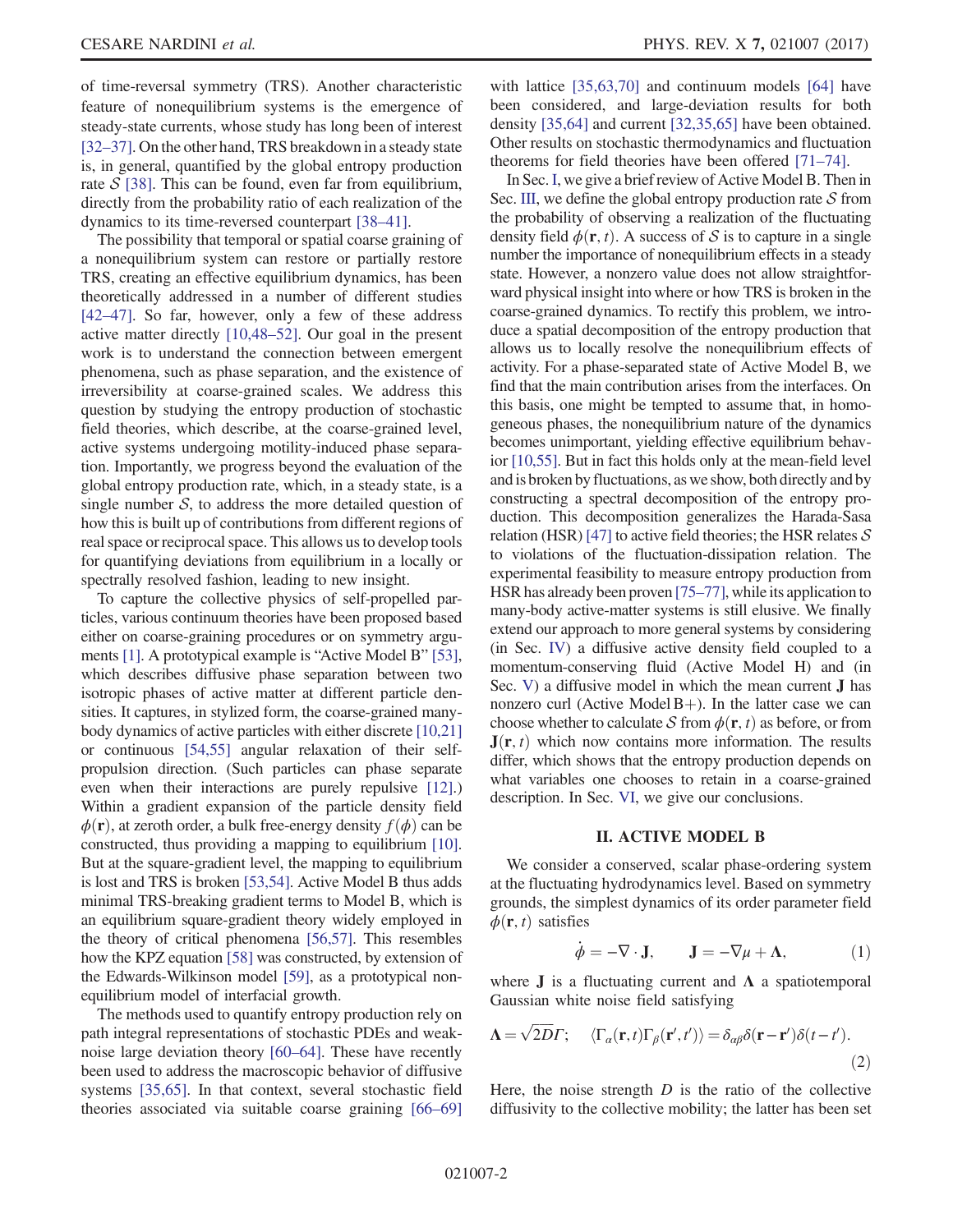of time-reversal symmetry (TRS). Another characteristic feature of nonequilibrium systems is the emergence of steady-state currents, whose study has long been of interest [\[32](#page-17-1)–37]. On the other hand, TRS breakdown in a steady state is, in general, quantified by the global entropy production rate  $S$  [\[38\].](#page-17-2) This can be found, even far from equilibrium, directly from the probability ratio of each realization of the dynamics to its time-reversed counterpart [38–[41\].](#page-17-2)

The possibility that temporal or spatial coarse graining of a nonequilibrium system can restore or partially restore TRS, creating an effective equilibrium dynamics, has been theoretically addressed in a number of different studies [\[42](#page-17-3)–47]. So far, however, only a few of these address active matter directly [\[10,48](#page-16-4)–52]. Our goal in the present work is to understand the connection between emergent phenomena, such as phase separation, and the existence of irreversibility at coarse-grained scales. We address this question by studying the entropy production of stochastic field theories, which describe, at the coarse-grained level, active systems undergoing motility-induced phase separation. Importantly, we progress beyond the evaluation of the global entropy production rate, which, in a steady state, is a single number  $S$ , to address the more detailed question of how this is built up of contributions from different regions of real space or reciprocal space. This allows us to develop tools for quantifying deviations from equilibrium in a locally or spectrally resolved fashion, leading to new insight.

To capture the collective physics of self-propelled particles, various continuum theories have been proposed based either on coarse-graining procedures or on symmetry arguments [\[1\]](#page-16-0). A prototypical example is "Active Model B" [\[53\]](#page-17-4), which describes diffusive phase separation between two isotropic phases of active matter at different particle densities. It captures, in stylized form, the coarse-grained manybody dynamics of active particles with either discrete [\[10,21\]](#page-16-4) or continuous [\[54,55\]](#page-17-5) angular relaxation of their selfpropulsion direction. (Such particles can phase separate even when their interactions are purely repulsive [\[12\]](#page-16-7).) Within a gradient expansion of the particle density field  $\phi(\mathbf{r})$ , at zeroth order, a bulk free-energy density  $f(\phi)$  can be constructed, thus providing a mapping to equilibrium [\[10\]](#page-16-4). But at the square-gradient level, the mapping to equilibrium is lost and TRS is broken [\[53,54\]](#page-17-4). Active Model B thus adds minimal TRS-breaking gradient terms to Model B, which is an equilibrium square-gradient theory widely employed in the theory of critical phenomena [\[56,57\].](#page-17-6) This resembles how the KPZ equation [\[58\]](#page-17-7) was constructed, by extension of the Edwards-Wilkinson model [\[59\],](#page-17-8) as a prototypical nonequilibrium model of interfacial growth.

The methods used to quantify entropy production rely on path integral representations of stochastic PDEs and weaknoise large deviation theory [\[60](#page-17-9)–64]. These have recently been used to address the macroscopic behavior of diffusive systems [\[35,65\]](#page-17-10). In that context, several stochastic field theories associated via suitable coarse graining [\[66](#page-18-0)–69] with lattice [\[35,63,70\]](#page-17-10) and continuum models [\[64\]](#page-18-1) have been considered, and large-deviation results for both density [\[35,64\]](#page-17-10) and current [\[32,35,65\]](#page-17-1) have been obtained. Other results on stochastic thermodynamics and fluctuation theorems for field theories have been offered [71–[74\].](#page-18-2)

In Sec.[I](#page-0-0), we give a brief review of Active Model B. Then in Sec. [III](#page-2-0), we define the global entropy production rate  $S$  from the probability of observing a realization of the fluctuating density field  $\phi(\mathbf{r}, t)$ . A success of S is to capture in a single number the importance of nonequilibrium effects in a steady state. However, a nonzero value does not allow straightforward physical insight into where or how TRS is broken in the coarse-grained dynamics. To rectify this problem, we introduce a spatial decomposition of the entropy production that allows us to locally resolve the nonequilibrium effects of activity. For a phase-separated state of Active Model B, we find that the main contribution arises from the interfaces. On this basis, one might be tempted to assume that, in homogeneous phases, the nonequilibrium nature of the dynamics becomes unimportant, yielding effective equilibrium behavior [\[10,55\]](#page-16-4). But in fact this holds only at the mean-field level and is broken by fluctuations, as we show, both directly and by constructing a spectral decomposition of the entropy production. This decomposition generalizes the Harada-Sasa relation (HSR) [\[47\]](#page-17-11) to active field theories; the HSR relates  $S$ to violations of the fluctuation-dissipation relation. The experimental feasibility to measure entropy production from HSR has already been proven [\[75](#page-18-3)–77], while its application to many-body active-matter systems is still elusive. We finally extend our approach to more general systems by considering (in Sec. [IV](#page-8-0)) a diffusive active density field coupled to a momentum-conserving fluid (Active Model H) and (in Sec. [V\)](#page-10-0) a diffusive model in which the mean current J has nonzero curl (Active Model  $B+$ ). In the latter case we can choose whether to calculate S from  $\phi(\mathbf{r}, t)$  as before, or from  $J(r, t)$  which now contains more information. The results differ, which shows that the entropy production depends on what variables one chooses to retain in a coarse-grained description. In Sec. [VI](#page-10-1), we give our conclusions.

#### II. ACTIVE MODEL B

<span id="page-1-0"></span>We consider a conserved, scalar phase-ordering system at the fluctuating hydrodynamics level. Based on symmetry grounds, the simplest dynamics of its order parameter field  $\phi(\mathbf{r}, t)$  satisfies

$$
\dot{\phi} = -\nabla \cdot \mathbf{J}, \qquad \mathbf{J} = -\nabla \mu + \mathbf{\Lambda}, \tag{1}
$$

<span id="page-1-1"></span>where **J** is a fluctuating current and  $\Lambda$  a spatiotemporal Gaussian white noise field satisfying

$$
\Lambda = \sqrt{2D}\Gamma; \quad \langle \Gamma_{\alpha}(\mathbf{r}, t) \Gamma_{\beta}(\mathbf{r}', t') \rangle = \delta_{\alpha\beta} \delta(\mathbf{r} - \mathbf{r}') \delta(t - t'). \tag{2}
$$

Here, the noise strength  $D$  is the ratio of the collective diffusivity to the collective mobility; the latter has been set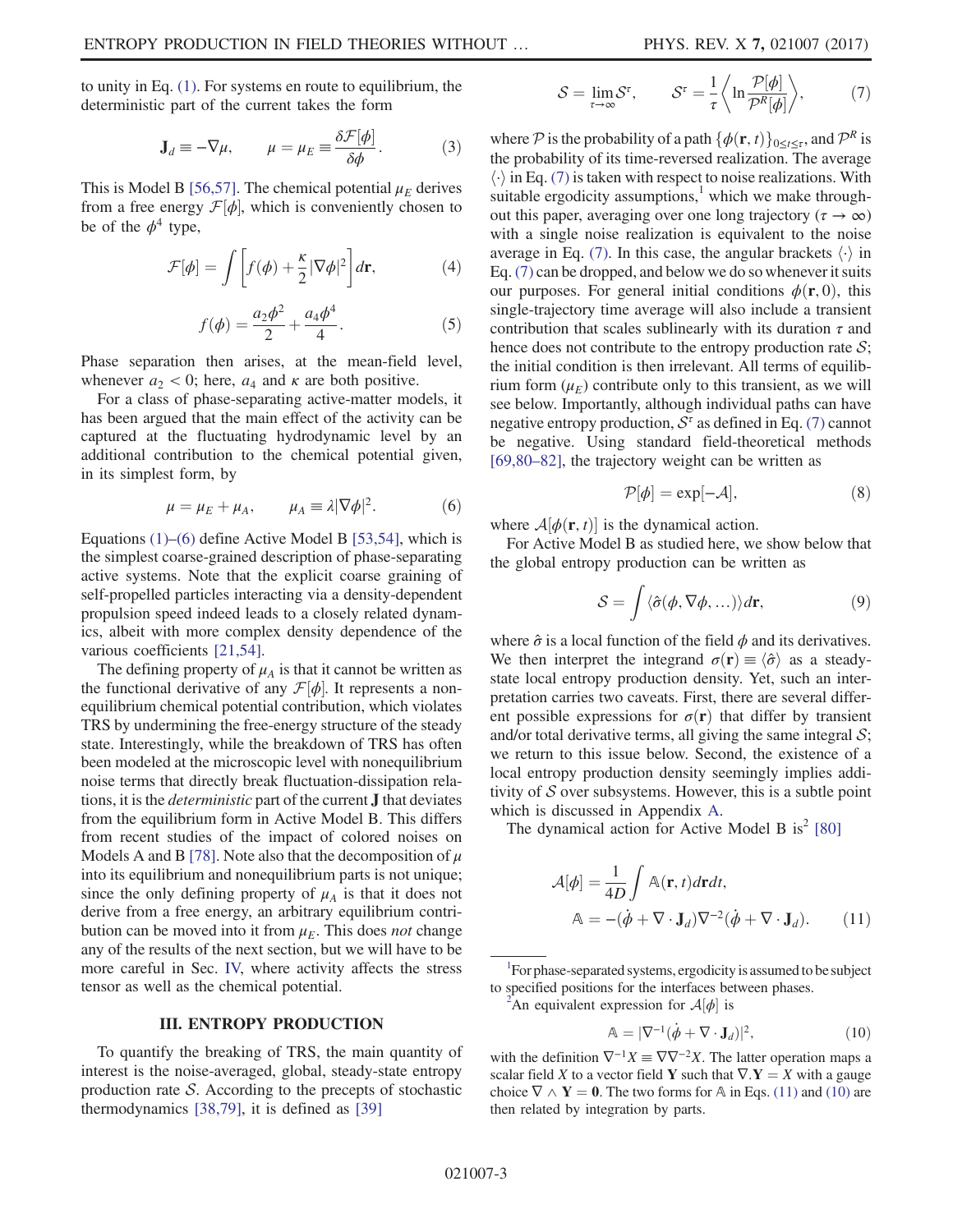to unity in Eq. [\(1\)](#page-1-0). For systems en route to equilibrium, the deterministic part of the current takes the form

$$
\mathbf{J}_d \equiv -\nabla \mu, \qquad \mu = \mu_E \equiv \frac{\delta \mathcal{F}[\phi]}{\delta \phi}.
$$
 (3)

<span id="page-2-6"></span>This is Model B [\[56,57\].](#page-17-6) The chemical potential  $\mu_E$  derives from a free energy  $\mathcal{F}[\phi]$ , which is conveniently chosen to be of the  $\phi^4$  type be of the  $\phi^4$  type,

$$
\mathcal{F}[\phi] = \int \left[ f(\phi) + \frac{\kappa}{2} |\nabla \phi|^2 \right] d\mathbf{r},\tag{4}
$$

$$
f(\phi) = \frac{a_2 \phi^2}{2} + \frac{a_4 \phi^4}{4}.
$$
 (5)

Phase separation then arises, at the mean-field level, whenever  $a_2 < 0$ ; here,  $a_4$  and  $\kappa$  are both positive.

<span id="page-2-1"></span>For a class of phase-separating active-matter models, it has been argued that the main effect of the activity can be captured at the fluctuating hydrodynamic level by an additional contribution to the chemical potential given, in its simplest form, by

$$
\mu = \mu_E + \mu_A, \qquad \mu_A \equiv \lambda |\nabla \phi|^2. \tag{6}
$$

Equations [\(1\)](#page-1-0)–[\(6\)](#page-2-1) define Active Model B [\[53,54\],](#page-17-4) which is the simplest coarse-grained description of phase-separating active systems. Note that the explicit coarse graining of self-propelled particles interacting via a density-dependent propulsion speed indeed leads to a closely related dynamics, albeit with more complex density dependence of the various coefficients [\[21,54\].](#page-16-8)

The defining property of  $\mu_A$  is that it cannot be written as the functional derivative of any  $\mathcal{F}[\phi]$ . It represents a non-<br>equilibrium chemical potential contribution, which violates equilibrium chemical potential contribution, which violates TRS by undermining the free-energy structure of the steady state. Interestingly, while the breakdown of TRS has often been modeled at the microscopic level with nonequilibrium noise terms that directly break fluctuation-dissipation relations, it is the deterministic part of the current J that deviates from the equilibrium form in Active Model B. This differs from recent studies of the impact of colored noises on Models A and B [\[78\].](#page-18-4) Note also that the decomposition of  $\mu$ into its equilibrium and nonequilibrium parts is not unique; since the only defining property of  $\mu_A$  is that it does not derive from a free energy, an arbitrary equilibrium contribution can be moved into it from  $\mu_F$ . This does not change any of the results of the next section, but we will have to be more careful in Sec. [IV,](#page-8-0) where activity affects the stress tensor as well as the chemical potential.

## III. ENTROPY PRODUCTION

<span id="page-2-2"></span><span id="page-2-0"></span>To quantify the breaking of TRS, the main quantity of interest is the noise-averaged, global, steady-state entropy production rate  $S$ . According to the precepts of stochastic thermodynamics [\[38,79\]](#page-17-2), it is defined as [\[39\]](#page-17-12)

$$
S = \lim_{\tau \to \infty} S^{\tau}, \qquad S^{\tau} = \frac{1}{\tau} \left\langle \ln \frac{\mathcal{P}[\phi]}{\mathcal{P}^{R}[\phi]} \right\rangle, \tag{7}
$$

where P is the probability of a path  $\{\phi(\mathbf{r}, t)\}_{0 \leq t \leq \tau}$ , and  $\mathcal{P}^R$  is the probability of its time-reversed realization. The average  $\langle \cdot \rangle$  in Eq. [\(7\)](#page-2-2) is taken with respect to noise realizations. With suitable ergodicity assumptions, $\frac{1}{1}$  which we make throughout this paper, averaging over one long trajectory ( $\tau \to \infty$ ) with a single noise realization is equivalent to the noise average in Eq. [\(7\).](#page-2-2) In this case, the angular brackets  $\langle \cdot \rangle$  in Eq. [\(7\)](#page-2-2) can be dropped, and below we do so whenever it suits our purposes. For general initial conditions  $\phi(\mathbf{r},0)$ , this single-trajectory time average will also include a transient contribution that scales sublinearly with its duration  $\tau$  and hence does not contribute to the entropy production rate  $S$ ; the initial condition is then irrelevant. All terms of equilibrium form  $(\mu_E)$  contribute only to this transient, as we will see below. Importantly, although individual paths can have negative entropy production,  $S^{\tau}$  as defined in Eq. [\(7\)](#page-2-2) cannot be negative. Using standard field-theoretical methods [\[69,80](#page-18-5)–82], the trajectory weight can be written as

$$
\mathcal{P}[\phi] = \exp[-\mathcal{A}],\tag{8}
$$

where  $\mathcal{A}[\phi(\mathbf{r}, t)]$  is the dynamical action.<br>For Active Model B as studied here we

<span id="page-2-5"></span>For Active Model B as studied here, we show below that the global entropy production can be written as

$$
S = \int \langle \hat{\sigma}(\phi, \nabla \phi, \ldots) \rangle d\mathbf{r}, \tag{9}
$$

where  $\hat{\sigma}$  is a local function of the field  $\phi$  and its derivatives. We then interpret the integrand  $\sigma(\mathbf{r}) \equiv \langle \hat{\sigma} \rangle$  as a steadystate local entropy production density. Yet, such an interpretation carries two caveats. First, there are several different possible expressions for  $\sigma(\mathbf{r})$  that differ by transient and/or total derivative terms, all giving the same integral  $S$ ; we return to this issue below. Second, the existence of a local entropy production density seemingly implies additivity of  $S$  over subsystems. However, this is a subtle point which is discussed in Appendix [A](#page-11-0).

<span id="page-2-3"></span>The dynamical action for Active Model B is $2$  [\[80\]](#page-18-6)

$$
\mathcal{A}[\phi] = \frac{1}{4D} \int \mathcal{A}(\mathbf{r}, t) d\mathbf{r} dt,
$$
  

$$
\mathcal{A} = -(\dot{\phi} + \nabla \cdot \mathbf{J}_d) \nabla^{-2} (\dot{\phi} + \nabla \cdot \mathbf{J}_d).
$$
 (11)

<sup>1</sup>For phase-separated systems, ergodicity is assumed to be subject to specified positions for the interfaces between phases.

<span id="page-2-4"></span>An equivalent expression for  $\mathcal{A}[\phi]$  is

$$
\mathbf{A} = |\nabla^{-1} (\dot{\phi} + \nabla \cdot \mathbf{J}_d)|^2, \tag{10}
$$

with the definition  $\nabla^{-1}X \equiv \nabla \nabla^{-2}X$ . The latter operation maps a scalar field X to a vector field Y such that  $\nabla$ : $\mathbf{Y} = X$  with a gauge choice  $\nabla \wedge \mathbf{Y} = \mathbf{0}$ . The two forms for A in Eqs. [\(11\)](#page-2-3) and [\(10\)](#page-2-4) are then related by integration by parts.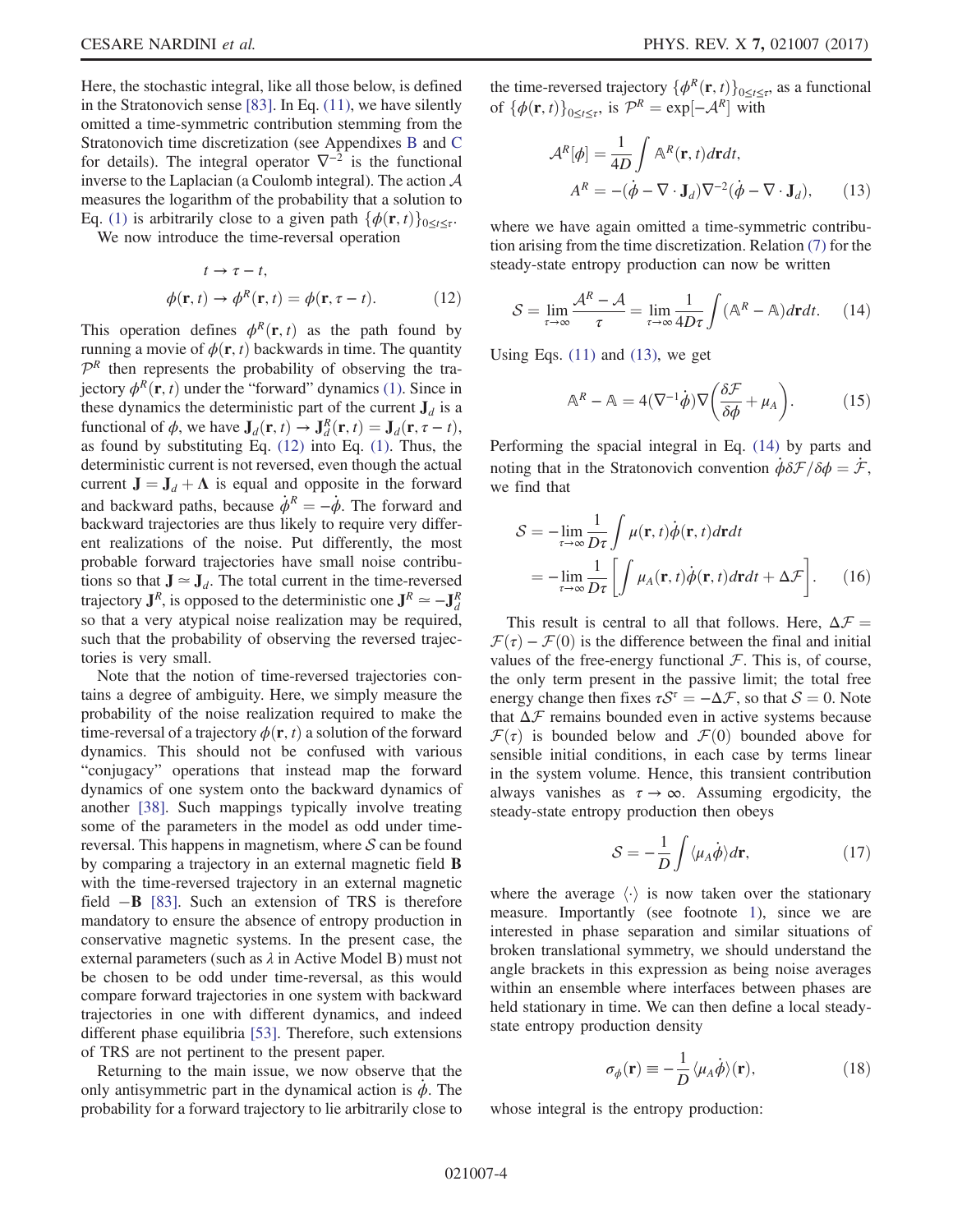Here, the stochastic integral, like all those below, is defined in the Stratonovich sense [\[83\]](#page-18-7). In Eq.  $(11)$ , we have silently omitted a time-symmetric contribution stemming from the Stratonovich time discretization (see Appendixes [B](#page-13-0) and [C](#page-13-1) for details). The integral operator  $\nabla^{-2}$  is the functional inverse to the Laplacian (a Coulomb integral). The action  $A$ measures the logarithm of the probability that a solution to Eq. [\(1\)](#page-1-0) is arbitrarily close to a given path  $\{\phi(\mathbf{r},t)\}_{0\leq t\leq \tau}$ .

<span id="page-3-0"></span>We now introduce the time-reversal operation

$$
t \to \tau - t,
$$
  
\n
$$
\phi(\mathbf{r}, t) \to \phi^R(\mathbf{r}, t) = \phi(\mathbf{r}, \tau - t).
$$
\n(12)

This operation defines  $\phi^R(\mathbf{r}, t)$  as the path found by running a movie of  $\phi(\mathbf{r}, t)$  backwards in time. The quantity  $\mathcal{P}^{R}$  then represents the probability of observing the trajectory  $\phi^R(\mathbf{r}, t)$  under the "forward" dynamics [\(1\)](#page-1-0). Since in these dynamics the deterministic part of the current  $J_d$  is a functional of  $\phi$ , we have  $J_d(\mathbf{r}, t) \to J_d^R(\mathbf{r}, t) = J_d(\mathbf{r}, \tau - t)$ ,<br>as found by substituting Eq. (12) into Eq. (1) Thus the as found by substituting Eq.  $(12)$  into Eq.  $(1)$ . Thus, the deterministic current is not reversed, even though the actual current  $J = J_d + \Lambda$  is equal and opposite in the forward and backward paths, because  $\dot{\phi}^R = -\dot{\phi}$ . The forward and backward trajectories are thus likely to require very different realizations of the noise. Put differently, the most probable forward trajectories have small noise contributions so that  $J = J_d$ . The total current in the time-reversed trajectory  $\mathbf{J}^R$ , is opposed to the deterministic one  $\mathbf{J}^R \simeq -\mathbf{J}_d^R$ so that a very atypical noise realization may be required, such that the probability of observing the reversed trajectories is very small.

Note that the notion of time-reversed trajectories contains a degree of ambiguity. Here, we simply measure the probability of the noise realization required to make the time-reversal of a trajectory  $\phi(\mathbf{r}, t)$  a solution of the forward dynamics. This should not be confused with various "conjugacy" operations that instead map the forward dynamics of one system onto the backward dynamics of another [\[38\]](#page-17-2). Such mappings typically involve treating some of the parameters in the model as odd under timereversal. This happens in magnetism, where  $S$  can be found by comparing a trajectory in an external magnetic field B with the time-reversed trajectory in an external magnetic field  $-\mathbf{B}$  [\[83\]](#page-18-7). Such an extension of TRS is therefore mandatory to ensure the absence of entropy production in conservative magnetic systems. In the present case, the external parameters (such as  $\lambda$  in Active Model B) must not be chosen to be odd under time-reversal, as this would compare forward trajectories in one system with backward trajectories in one with different dynamics, and indeed different phase equilibria [\[53\]](#page-17-4). Therefore, such extensions of TRS are not pertinent to the present paper.

Returning to the main issue, we now observe that the only antisymmetric part in the dynamical action is  $\phi$ . The probability for a forward trajectory to lie arbitrarily close to <span id="page-3-1"></span>the time-reversed trajectory  $\{\phi^R(\mathbf{r}, t)\}_{0 \leq t \leq \tau}$ , as a functional of  $\{\phi(\mathbf{r},t)\}_{0\leq t\leq \tau}$ , is  $\mathcal{P}^R = \exp[-\mathcal{A}^R]$  with

$$
\mathcal{A}^{R}[\phi] = \frac{1}{4D} \int \mathbb{A}^{R}(\mathbf{r}, t) d\mathbf{r} dt,
$$
  

$$
A^{R} = -(\dot{\phi} - \nabla \cdot \mathbf{J}_{d}) \nabla^{-2}(\dot{\phi} - \nabla \cdot \mathbf{J}_{d}), \qquad (13)
$$

<span id="page-3-2"></span>where we have again omitted a time-symmetric contribution arising from the time discretization. Relation [\(7\)](#page-2-2) for the steady-state entropy production can now be written

$$
S = \lim_{\tau \to \infty} \frac{A^R - A}{\tau} = \lim_{\tau \to \infty} \frac{1}{4D\tau} \int (\mathbb{A}^R - \mathbb{A}) d\mathbf{r} dt. \tag{14}
$$

Using Eqs.  $(11)$  and  $(13)$ , we get

$$
\mathbb{A}^R - \mathbb{A} = 4(\nabla^{-1} \dot{\phi}) \nabla \left( \frac{\delta \mathcal{F}}{\delta \phi} + \mu_A \right). \tag{15}
$$

Performing the spacial integral in Eq. [\(14\)](#page-3-2) by parts and noting that in the Stratonovich convention  $\dot{\phi}\delta\mathcal{F}/\delta\phi=\dot{\mathcal{F}}$ , we find that

$$
S = -\lim_{\tau \to \infty} \frac{1}{D\tau} \int \mu(\mathbf{r}, t) \dot{\phi}(\mathbf{r}, t) d\mathbf{r} dt
$$
  
= 
$$
-\lim_{\tau \to \infty} \frac{1}{D\tau} \left[ \int \mu_A(\mathbf{r}, t) \dot{\phi}(\mathbf{r}, t) d\mathbf{r} dt + \Delta \mathcal{F} \right].
$$
 (16)

This result is central to all that follows. Here,  $\Delta \mathcal{F} =$  $\mathcal{F}(\tau) - \mathcal{F}(0)$  is the difference between the final and initial values of the free-energy functional  $F$ . This is, of course, the only term present in the passive limit; the total free energy change then fixes  $\tau S^{\tau} = -\Delta \mathcal{F}$ , so that  $S = 0$ . Note that  $\Delta \mathcal{F}$  remains bounded even in active systems because  $\mathcal{F}(\tau)$  is bounded below and  $\mathcal{F}(0)$  bounded above for sensible initial conditions, in each case by terms linear in the system volume. Hence, this transient contribution always vanishes as  $\tau \to \infty$ . Assuming ergodicity, the steady-state entropy production then obeys

$$
S = -\frac{1}{D} \int \langle \mu_A \dot{\phi} \rangle d\mathbf{r},\qquad(17)
$$

<span id="page-3-4"></span><span id="page-3-3"></span>where the average  $\langle \cdot \rangle$  is now taken over the stationary measure. Importantly (see footnote 1), since we are interested in phase separation and similar situations of broken translational symmetry, we should understand the angle brackets in this expression as being noise averages within an ensemble where interfaces between phases are held stationary in time. We can then define a local steadystate entropy production density

$$
\sigma_{\phi}(\mathbf{r}) \equiv -\frac{1}{D} \langle \mu_A \dot{\phi} \rangle(\mathbf{r}), \qquad (18)
$$

whose integral is the entropy production: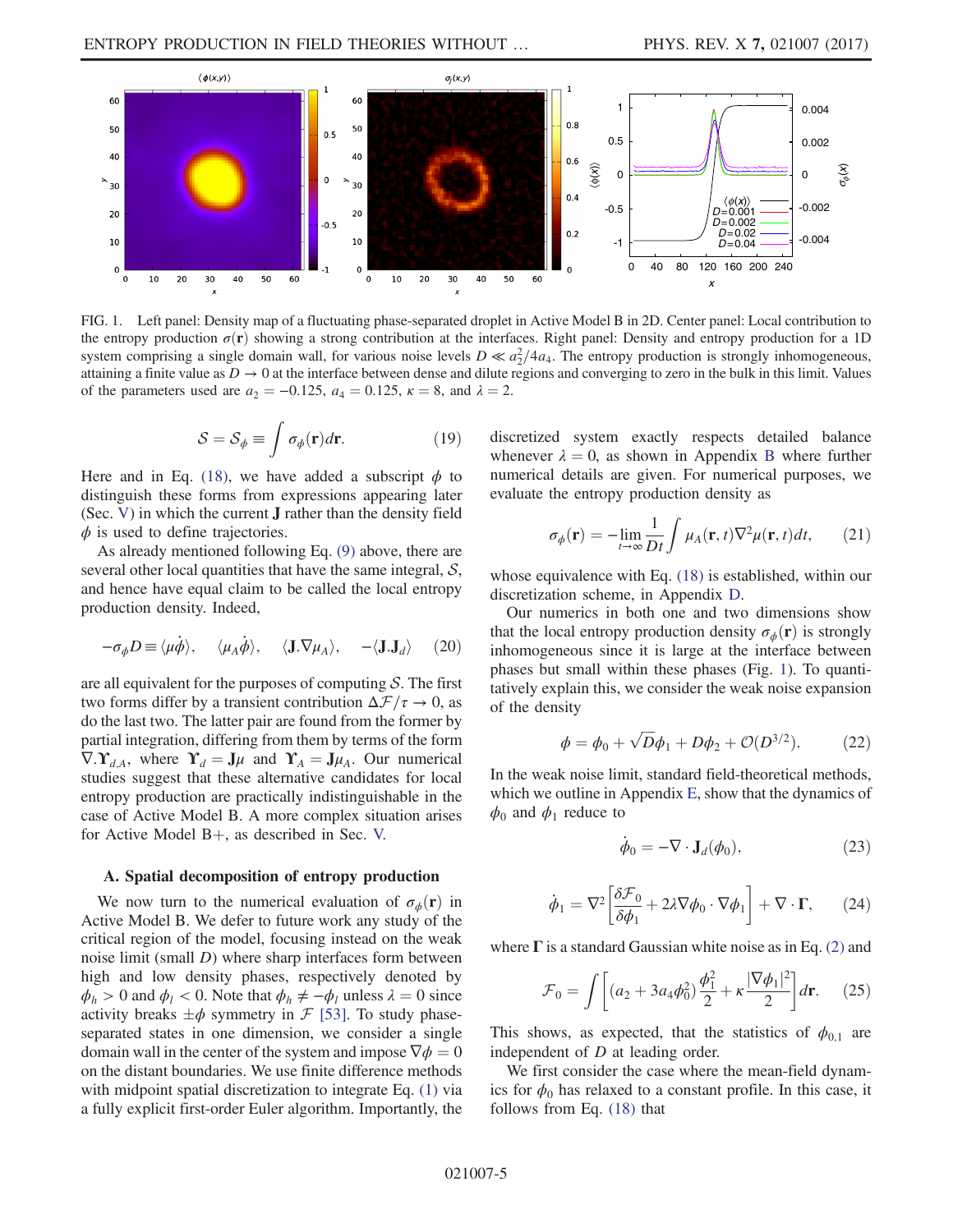<span id="page-4-0"></span>

FIG. 1. Left panel: Density map of a fluctuating phase-separated droplet in Active Model B in 2D. Center panel: Local contribution to the entropy production  $\sigma(\mathbf{r})$  showing a strong contribution at the interfaces. Right panel: Density and entropy production for a 1D system comprising a single domain wall, for various noise levels  $D \ll a_2^2/4a_4$ . The entropy production is strongly inhomogeneous, attaining a finite value as  $D \to 0$  at the interface between dense and dilute regions and converging to zero in the bulk in this limit. Values of the parameters used are  $a_2 = -0.125$ ,  $a_4 = 0.125$ ,  $\kappa = 8$ , and  $\lambda = 2$ .

$$
S = S_{\phi} \equiv \int \sigma_{\phi}(\mathbf{r}) d\mathbf{r}.
$$
 (19)

Here and in Eq. [\(18\),](#page-3-3) we have added a subscript  $\phi$  to distinguish these forms from expressions appearing later (Sec. [V](#page-10-0)) in which the current J rather than the density field  $\phi$  is used to define trajectories.

<span id="page-4-7"></span>As already mentioned following Eq. [\(9\)](#page-2-5) above, there are several other local quantities that have the same integral,  $S$ , and hence have equal claim to be called the local entropy production density. Indeed,

$$
-\sigma_{\phi}D \equiv \langle \mu \dot{\phi} \rangle, \quad \langle \mu_A \dot{\phi} \rangle, \quad \langle \mathbf{J} . \nabla \mu_A \rangle, \quad -\langle \mathbf{J} . \mathbf{J}_d \rangle \quad (20)
$$

are all equivalent for the purposes of computing  $S$ . The first two forms differ by a transient contribution  $\Delta \mathcal{F}/\tau \rightarrow 0$ , as do the last two. The latter pair are found from the former by partial integration, differing from them by terms of the form  $\nabla.\Upsilon_{d,A}$ , where  $\Upsilon_d = J\mu$  and  $\Upsilon_A = J\mu_A$ . Our numerical studies suggest that these alternative candidates for local entropy production are practically indistinguishable in the case of Active Model B. A more complex situation arises for Active Model  $B+$ , as described in Sec. [V.](#page-10-0)

#### <span id="page-4-5"></span>A. Spatial decomposition of entropy production

We now turn to the numerical evaluation of  $\sigma_{\phi}(\mathbf{r})$  in Active Model B. We defer to future work any study of the critical region of the model, focusing instead on the weak noise limit (small D) where sharp interfaces form between high and low density phases, respectively denoted by  $\phi_h > 0$  and  $\phi_l < 0$ . Note that  $\phi_h \neq -\phi_l$  unless  $\lambda = 0$  since activity breaks  $\pm \phi$  symmetry in  $\mathcal{F}$  [\[53\].](#page-17-4) To study phaseseparated states in one dimension, we consider a single domain wall in the center of the system and impose  $\nabla \phi = 0$ on the distant boundaries. We use finite difference methods with midpoint spatial discretization to integrate Eq. [\(1\)](#page-1-0) via a fully explicit first-order Euler algorithm. Importantly, the <span id="page-4-6"></span>discretized system exactly respects detailed balance whenever  $\lambda = 0$ , as shown in Appendix [B](#page-13-0) where further numerical details are given. For numerical purposes, we evaluate the entropy production density as

$$
\sigma_{\phi}(\mathbf{r}) = -\lim_{t \to \infty} \frac{1}{Dt} \int \mu_A(\mathbf{r}, t) \nabla^2 \mu(\mathbf{r}, t) dt, \qquad (21)
$$

whose equivalence with Eq. [\(18\)](#page-3-3) is established, within our discretization scheme, in Appendix [D.](#page-14-0)

Our numerics in both one and two dimensions show that the local entropy production density  $\sigma_{\phi}(\mathbf{r})$  is strongly inhomogeneous since it is large at the interface between phases but small within these phases (Fig. [1](#page-4-0)). To quantitatively explain this, we consider the weak noise expansion of the density

$$
\phi = \phi_0 + \sqrt{D}\phi_1 + D\phi_2 + \mathcal{O}(D^{3/2}).
$$
 (22)

<span id="page-4-4"></span><span id="page-4-3"></span>In the weak noise limit, standard field-theoretical methods, which we outline in Appendix [E,](#page-14-1) show that the dynamics of  $\phi_0$  and  $\phi_1$  reduce to

$$
\dot{\phi}_0 = -\nabla \cdot \mathbf{J}_d(\phi_0),\tag{23}
$$

<span id="page-4-1"></span>
$$
\dot{\phi}_1 = \nabla^2 \left[ \frac{\delta \mathcal{F}_0}{\delta \phi_1} + 2\lambda \nabla \phi_0 \cdot \nabla \phi_1 \right] + \nabla \cdot \mathbf{\Gamma}, \qquad (24)
$$

<span id="page-4-8"></span>where  $\Gamma$  is a standard Gaussian white noise as in Eq. [\(2\)](#page-1-1) and

$$
F_0 = \int \left[ (a_2 + 3a_4 \phi_0^2) \frac{\phi_1^2}{2} + \kappa \frac{|\nabla \phi_1|^2}{2} \right] d\mathbf{r}.
$$
 (25)

This shows, as expected, that the statistics of  $\phi_{0,1}$  are independent of D at leading order.

<span id="page-4-2"></span>We first consider the case where the mean-field dynamics for  $\phi_0$  has relaxed to a constant profile. In this case, it follows from Eq. [\(18\)](#page-3-3) that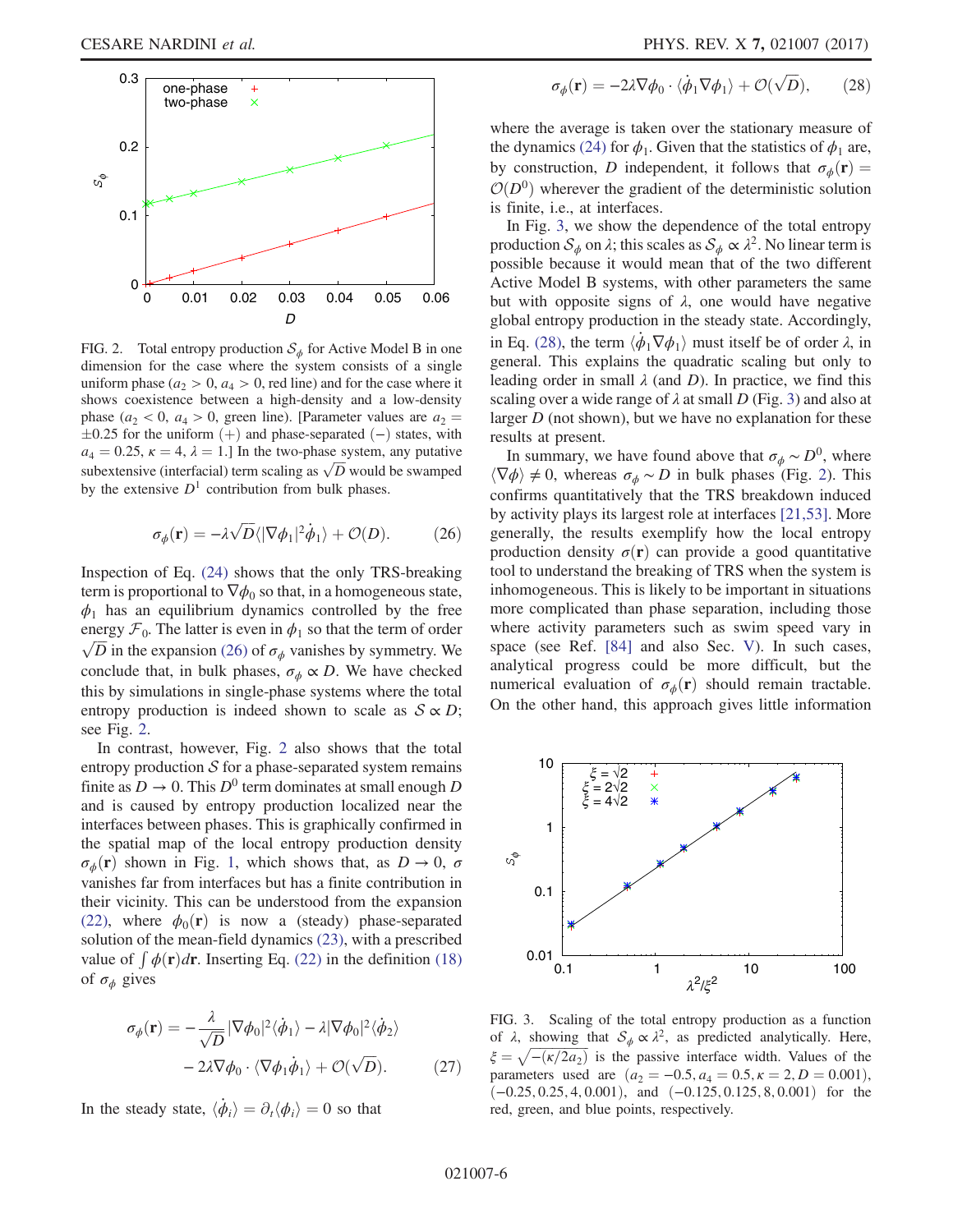<span id="page-5-0"></span>

FIG. 2. Total entropy production  $S_{\phi}$  for Active Model B in one dimension for the case where the system consists of a single uniform phase  $(a_2 > 0, a_4 > 0, \text{ red line})$  and for the case where it shows coexistence between a high-density and a low-density phase ( $a_2 < 0$ ,  $a_4 > 0$ , green line). [Parameter values are  $a_2 =$  $\pm 0.25$  for the uniform  $(+)$  and phase-separated  $(-)$  states, with  $a_4 = 0.25$ ,  $\kappa = 4$ ,  $\lambda = 1$ .] In the two-phase system, any putative subextensive (interfacial) term scaling as  $\sqrt{D}$  would be swamped by the extensive  $D<sup>1</sup>$  contribution from bulk phases.

$$
\sigma_{\phi}(\mathbf{r}) = -\lambda \sqrt{D} \langle |\nabla \phi_1|^2 \dot{\phi}_1 \rangle + \mathcal{O}(D). \tag{26}
$$

Inspection of Eq. [\(24\)](#page-4-1) shows that the only TRS-breaking term is proportional to  $\nabla \phi_0$  so that, in a homogeneous state,  $\phi_1$  has an equilibrium dynamics controlled by the free energy  $\mathcal{F}_0$ . The latter is even in  $\phi_1$  so that the term of order  $\sqrt{D}$  in the expansion [\(26\)](#page-4-2) of  $\sigma_{\phi}$  vanishes by symmetry. We conclude that, in bulk phases,  $\sigma_{\phi} \propto D$ . We have checked this by simulations in single-phase systems where the total entropy production is indeed shown to scale as  $S \propto D$ ; see Fig. [2](#page-5-0).

In contrast, however, Fig. [2](#page-5-0) also shows that the total entropy production  $S$  for a phase-separated system remains finite as  $D \to 0$ . This  $D^0$  term dominates at small enough D and is caused by entropy production localized near the interfaces between phases. This is graphically confirmed in the spatial map of the local entropy production density  $\sigma_{\phi}(\mathbf{r})$  shown in Fig. [1](#page-4-0), which shows that, as  $D \to 0$ ,  $\sigma$ vanishes far from interfaces but has a finite contribution in their vicinity. This can be understood from the expansion [\(22\)](#page-4-3), where  $\phi_0(\mathbf{r})$  is now a (steady) phase-separated solution of the mean-field dynamics [\(23\),](#page-4-4) with a prescribed value of  $\int \phi(\mathbf{r}) d\mathbf{r}$ . Inserting Eq. [\(22\)](#page-4-3) in the definition [\(18\)](#page-3-3) of  $\sigma_{\phi}$  gives

$$
\sigma_{\phi}(\mathbf{r}) = -\frac{\lambda}{\sqrt{D}} |\nabla \phi_0|^2 \langle \dot{\phi}_1 \rangle - \lambda |\nabla \phi_0|^2 \langle \dot{\phi}_2 \rangle
$$

$$
-2\lambda \nabla \phi_0 \cdot \langle \nabla \phi_1 \dot{\phi}_1 \rangle + \mathcal{O}(\sqrt{D}). \tag{27}
$$

<span id="page-5-2"></span>In the steady state,  $\langle \dot{\phi}_i \rangle = \partial_t \langle \phi_i \rangle = 0$  so that

$$
\sigma_{\phi}(\mathbf{r}) = -2\lambda \nabla \phi_0 \cdot \langle \dot{\phi}_1 \nabla \phi_1 \rangle + \mathcal{O}(\sqrt{D}), \qquad (28)
$$

where the average is taken over the stationary measure of the dynamics [\(24\)](#page-4-1) for  $\phi_1$ . Given that the statistics of  $\phi_1$  are, by construction, D independent, it follows that  $\sigma_{\phi}(\mathbf{r}) =$  $\mathcal{O}(D^0)$  wherever the gradient of the deterministic solution is finite, i.e., at interfaces.

In Fig. [3,](#page-5-1) we show the dependence of the total entropy production  $S_{\phi}$  on  $\lambda$ ; this scales as  $S_{\phi} \propto \lambda^2$ . No linear term is possible because it would mean that of the two different Active Model B systems, with other parameters the same but with opposite signs of  $\lambda$ , one would have negative global entropy production in the steady state. Accordingly, in Eq. [\(28\),](#page-5-2) the term  $\langle \phi_1 \nabla \phi_1 \rangle$  must itself be of order  $\lambda$ , in general. This explains the quadratic scaling but only to leading order in small  $\lambda$  (and D). In practice, we find this scaling over a wide range of  $\lambda$  at small D (Fig. [3\)](#page-5-1) and also at larger  $D$  (not shown), but we have no explanation for these results at present.

In summary, we have found above that  $\sigma_{\phi} \sim D^0$ , where  $\langle \nabla \phi \rangle \neq 0$ , whereas  $\sigma_{\phi} \sim D$  in bulk phases (Fig. [2](#page-5-0)). This confirms quantitatively that the TRS breakdown induced by activity plays its largest role at interfaces [\[21,53\]](#page-16-8). More generally, the results exemplify how the local entropy production density  $\sigma(\mathbf{r})$  can provide a good quantitative tool to understand the breaking of TRS when the system is inhomogeneous. This is likely to be important in situations more complicated than phase separation, including those where activity parameters such as swim speed vary in space (see Ref. [\[84\]](#page-18-8) and also Sec. [V](#page-10-0)). In such cases, analytical progress could be more difficult, but the numerical evaluation of  $\sigma_{\phi}(\mathbf{r})$  should remain tractable. On the other hand, this approach gives little information

<span id="page-5-1"></span>

FIG. 3. Scaling of the total entropy production as a function of  $\lambda$ , showing that  $S_{\phi} \propto \lambda^2$ , as predicted analytically. Here,  $\xi = \sqrt{-\left(\frac{\kappa}{2a_2}\right)}$  is the passive interface width. Values of the parameters used are  $(a_2 = -0.5, a_1 = 0.5, \kappa = 2, D = 0.001)$ parameters used are  $(a_2 = -0.5, a_4 = 0.5, \kappa = 2, D = 0.001)$ ,  $(-0.25, 0.25, 4, 0.001)$ , and  $(-0.125, 0.125, 8, 0.001)$  for the red, green, and blue points, respectively.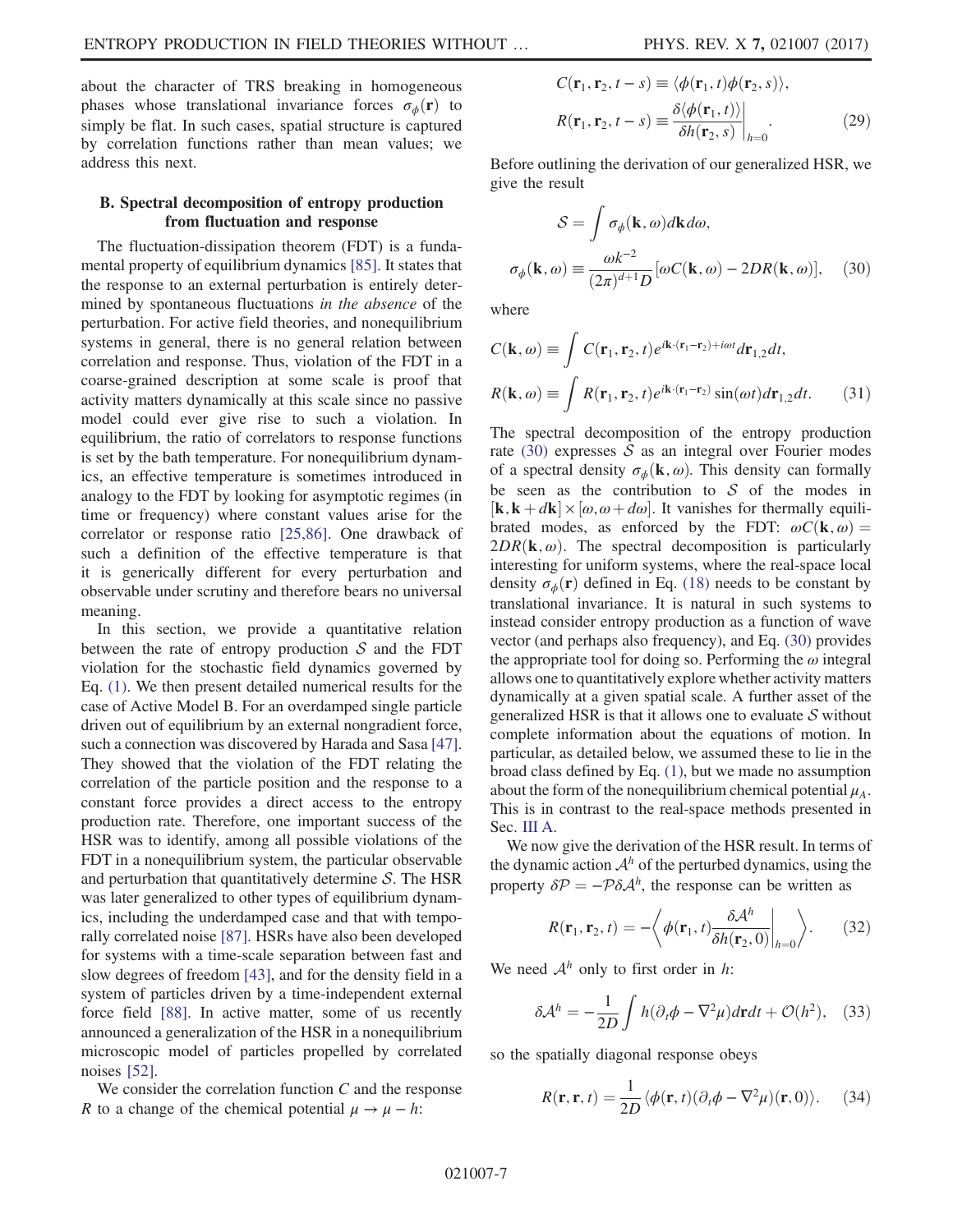about the character of TRS breaking in homogeneous phases whose translational invariance forces  $\sigma_{\phi}(\mathbf{r})$  to simply be flat. In such cases, spatial structure is captured by correlation functions rather than mean values; we address this next.

## B. Spectral decomposition of entropy production from fluctuation and response

The fluctuation-dissipation theorem (FDT) is a fundamental property of equilibrium dynamics [\[85\]](#page-18-9). It states that the response to an external perturbation is entirely determined by spontaneous fluctuations in the absence of the perturbation. For active field theories, and nonequilibrium systems in general, there is no general relation between correlation and response. Thus, violation of the FDT in a coarse-grained description at some scale is proof that activity matters dynamically at this scale since no passive model could ever give rise to such a violation. In equilibrium, the ratio of correlators to response functions is set by the bath temperature. For nonequilibrium dynamics, an effective temperature is sometimes introduced in analogy to the FDT by looking for asymptotic regimes (in time or frequency) where constant values arise for the correlator or response ratio [\[25,86\].](#page-17-13) One drawback of such a definition of the effective temperature is that it is generically different for every perturbation and observable under scrutiny and therefore bears no universal meaning.

In this section, we provide a quantitative relation between the rate of entropy production  $S$  and the FDT violation for the stochastic field dynamics governed by Eq. [\(1\)](#page-1-0). We then present detailed numerical results for the case of Active Model B. For an overdamped single particle driven out of equilibrium by an external nongradient force, such a connection was discovered by Harada and Sasa [\[47\]](#page-17-11). They showed that the violation of the FDT relating the correlation of the particle position and the response to a constant force provides a direct access to the entropy production rate. Therefore, one important success of the HSR was to identify, among all possible violations of the FDT in a nonequilibrium system, the particular observable and perturbation that quantitatively determine  $S$ . The HSR was later generalized to other types of equilibrium dynamics, including the underdamped case and that with temporally correlated noise [\[87\]](#page-18-10). HSRs have also been developed for systems with a time-scale separation between fast and slow degrees of freedom [\[43\]](#page-17-14), and for the density field in a system of particles driven by a time-independent external force field [\[88\]](#page-18-11). In active matter, some of us recently announced a generalization of the HSR in a nonequilibrium microscopic model of particles propelled by correlated noises [\[52\].](#page-17-15)

<span id="page-6-1"></span>We consider the correlation function  $C$  and the response R to a change of the chemical potential  $\mu \rightarrow \mu - h$ :

$$
C(\mathbf{r}_1, \mathbf{r}_2, t - s) \equiv \langle \phi(\mathbf{r}_1, t) \phi(\mathbf{r}_2, s) \rangle,
$$
  

$$
R(\mathbf{r}_1, \mathbf{r}_2, t - s) \equiv \frac{\delta \langle \phi(\mathbf{r}_1, t) \rangle}{\delta h(\mathbf{r}_2, s)} \Big|_{h=0}.
$$
 (29)

<span id="page-6-0"></span>Before outlining the derivation of our generalized HSR, we give the result

$$
S = \int \sigma_{\phi}(\mathbf{k}, \omega) d\mathbf{k} d\omega,
$$

$$
\sigma_{\phi}(\mathbf{k}, \omega) \equiv \frac{\omega k^{-2}}{(2\pi)^{d+1} D} [\omega C(\mathbf{k}, \omega) - 2DR(\mathbf{k}, \omega)], \quad (30)
$$

where

$$
C(\mathbf{k}, \omega) \equiv \int C(\mathbf{r}_1, \mathbf{r}_2, t) e^{i\mathbf{k} \cdot (\mathbf{r}_1 - \mathbf{r}_2) + i\omega t} d\mathbf{r}_{1,2} dt,
$$
  

$$
R(\mathbf{k}, \omega) \equiv \int R(\mathbf{r}_1, \mathbf{r}_2, t) e^{i\mathbf{k} \cdot (\mathbf{r}_1 - \mathbf{r}_2)} \sin(\omega t) d\mathbf{r}_{1,2} dt.
$$
 (31)

The spectral decomposition of the entropy production rate [\(30\)](#page-6-0) expresses  $S$  as an integral over Fourier modes of a spectral density  $\sigma_{\phi}(\mathbf{k}, \omega)$ . This density can formally be seen as the contribution to  $S$  of the modes in  $[\mathbf{k}, \mathbf{k} + d\mathbf{k}] \times [\omega, \omega + d\omega]$ . It vanishes for thermally equili-<br>brated modes as enforced by the FDT:  $\omega C(\mathbf{k}, \omega) =$ brated modes, as enforced by the FDT:  $\omega C(\mathbf{k}, \omega) =$  $2DR(\mathbf{k}, \omega)$ . The spectral decomposition is particularly interesting for uniform systems, where the real-space local density  $\sigma_{\phi}(\mathbf{r})$  defined in Eq. [\(18\)](#page-3-3) needs to be constant by translational invariance. It is natural in such systems to instead consider entropy production as a function of wave vector (and perhaps also frequency), and Eq. [\(30\)](#page-6-0) provides the appropriate tool for doing so. Performing the  $\omega$  integral allows one to quantitatively explore whether activity matters dynamically at a given spatial scale. A further asset of the generalized HSR is that it allows one to evaluate  $S$  without complete information about the equations of motion. In particular, as detailed below, we assumed these to lie in the broad class defined by Eq. [\(1\)](#page-1-0), but we made no assumption about the form of the nonequilibrium chemical potential  $\mu_A$ . This is in contrast to the real-space methods presented in Sec. [III A.](#page-4-5)

<span id="page-6-2"></span>We now give the derivation of the HSR result. In terms of the dynamic action  $A<sup>h</sup>$  of the perturbed dynamics, using the property  $\delta P = -P\delta A^h$ , the response can be written as

$$
R(\mathbf{r}_1, \mathbf{r}_2, t) = -\left\langle \phi(\mathbf{r}_1, t) \frac{\delta \mathcal{A}^h}{\delta h(\mathbf{r}_2, 0)} \bigg|_{h=0} \right\rangle. \tag{32}
$$

We need  $A<sup>h</sup>$  only to first order in h:

$$
\delta \mathcal{A}^h = -\frac{1}{2D} \int h (\partial_t \phi - \nabla^2 \mu) dr dt + \mathcal{O}(h^2), \quad (33)
$$

so the spatially diagonal response obeys

$$
R(\mathbf{r}, \mathbf{r}, t) = \frac{1}{2D} \langle \phi(\mathbf{r}, t)(\partial_t \phi - \nabla^2 \mu)(\mathbf{r}, 0) \rangle.
$$
 (34)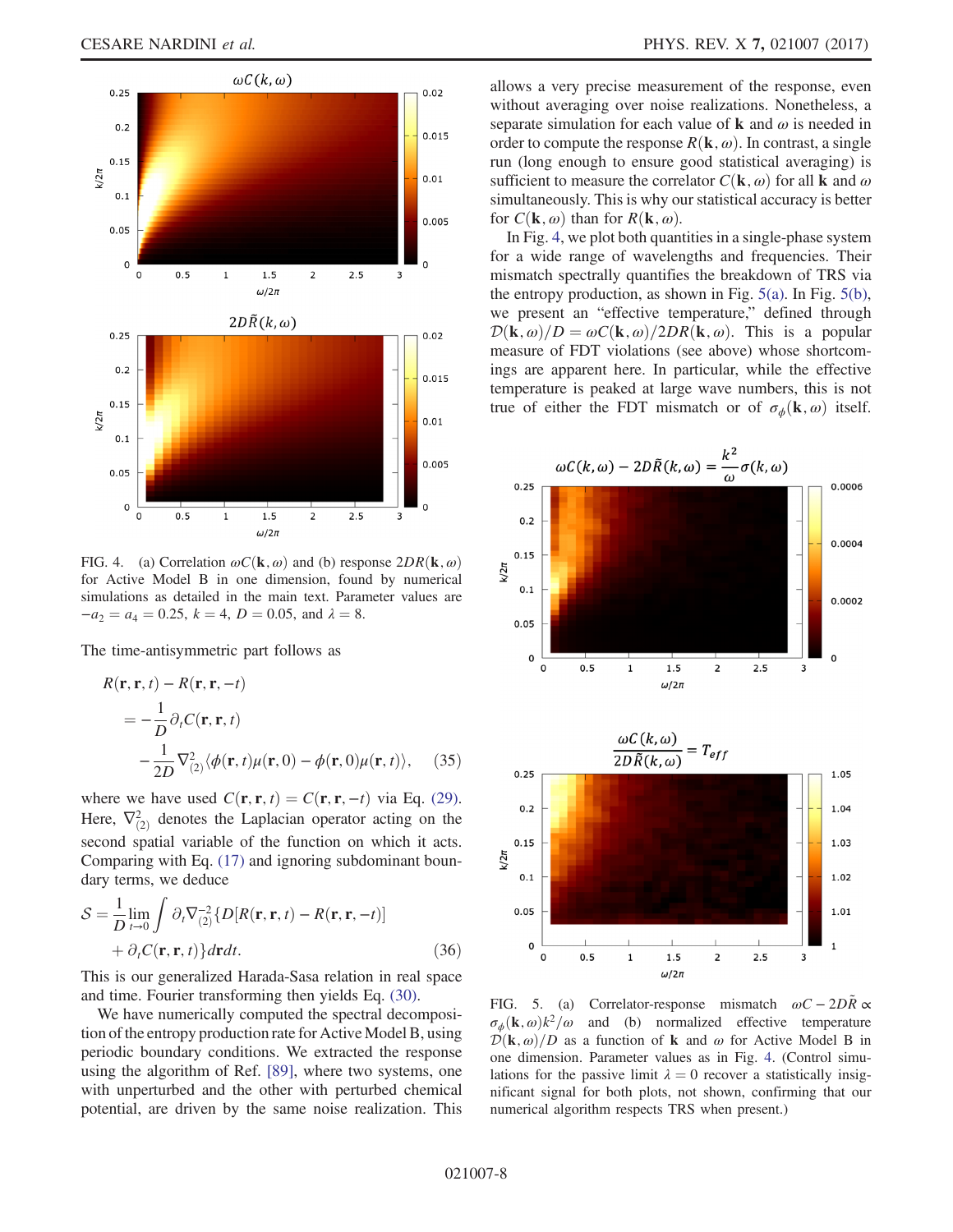<span id="page-7-0"></span>

FIG. 4. (a) Correlation  $\omega C(\mathbf{k}, \omega)$  and (b) response  $2DR(\mathbf{k}, \omega)$ for Active Model B in one dimension, found by numerical simulations as detailed in the main text. Parameter values are  $-a_2 = a_4 = 0.25, k = 4, D = 0.05, \text{ and } \lambda = 8.$ 

The time-antisymmetric part follows as

$$
R(\mathbf{r}, \mathbf{r}, t) - R(\mathbf{r}, \mathbf{r}, -t)
$$
  
=  $-\frac{1}{D} \partial_t C(\mathbf{r}, \mathbf{r}, t)$   
 $-\frac{1}{2D} \nabla^2_{(2)} \langle \phi(\mathbf{r}, t) \mu(\mathbf{r}, 0) - \phi(\mathbf{r}, 0) \mu(\mathbf{r}, t) \rangle,$  (35)

where we have used  $C(\mathbf{r}, \mathbf{r}, t) = C(\mathbf{r}, \mathbf{r}, -t)$  via Eq. [\(29\)](#page-6-1). Here,  $\nabla^2_{(2)}$  denotes the Laplacian operator acting on the second spatial variable of the function on which it acts. Comparing with Eq. [\(17\)](#page-3-4) and ignoring subdominant boundary terms, we deduce

$$
S = \frac{1}{D} \lim_{t \to 0} \int \partial_t \nabla_{(2)}^{-2} \{ D[R(\mathbf{r}, \mathbf{r}, t) - R(\mathbf{r}, \mathbf{r}, -t)]
$$
  
+  $\partial_t C(\mathbf{r}, \mathbf{r}, t) \} dr dt.$  (36)

This is our generalized Harada-Sasa relation in real space and time. Fourier transforming then yields Eq. [\(30\).](#page-6-0)

We have numerically computed the spectral decomposition of the entropy production rate for Active Model B, using periodic boundary conditions. We extracted the response using the algorithm of Ref. [\[89\],](#page-18-12) where two systems, one with unperturbed and the other with perturbed chemical potential, are driven by the same noise realization. This allows a very precise measurement of the response, even without averaging over noise realizations. Nonetheless, a separate simulation for each value of **k** and  $\omega$  is needed in order to compute the response  $R(\mathbf{k}, \omega)$ . In contrast, a single run (long enough to ensure good statistical averaging) is sufficient to measure the correlator  $C(\mathbf{k},\omega)$  for all **k** and  $\omega$ simultaneously. This is why our statistical accuracy is better for  $C(\mathbf{k}, \omega)$  than for  $R(\mathbf{k}, \omega)$ .

In Fig. [4](#page-7-0), we plot both quantities in a single-phase system for a wide range of wavelengths and frequencies. Their mismatch spectrally quantifies the breakdown of TRS via the entropy production, as shown in Fig.  $5(a)$ . In Fig.  $5(b)$ , we present an "effective temperature," defined through  $\mathcal{D}(\mathbf{k},\omega)/D = \omega C(\mathbf{k},\omega)/2DR(\mathbf{k},\omega)$ . This is a popular measure of FDT violations (see above) whose shortcomings are apparent here. In particular, while the effective temperature is peaked at large wave numbers, this is not true of either the FDT mismatch or of  $\sigma_{\phi}(\mathbf{k}, \omega)$  itself.

<span id="page-7-1"></span>

FIG. 5. (a) Correlator-response mismatch  $\omega C - 2DR \propto$  $\sigma_{\phi}(\mathbf{k}, \omega) k^2/\omega$  and (b) normalized effective temperature  $\mathcal{D}(\mathbf{k}, \omega)/D$  as a function of **k** and  $\omega$  for Active Model B in one dimension. Parameter values as in Fig. [4](#page-7-0). (Control simulations for the passive limit  $\lambda = 0$  recover a statistically insignificant signal for both plots, not shown, confirming that our numerical algorithm respects TRS when present.)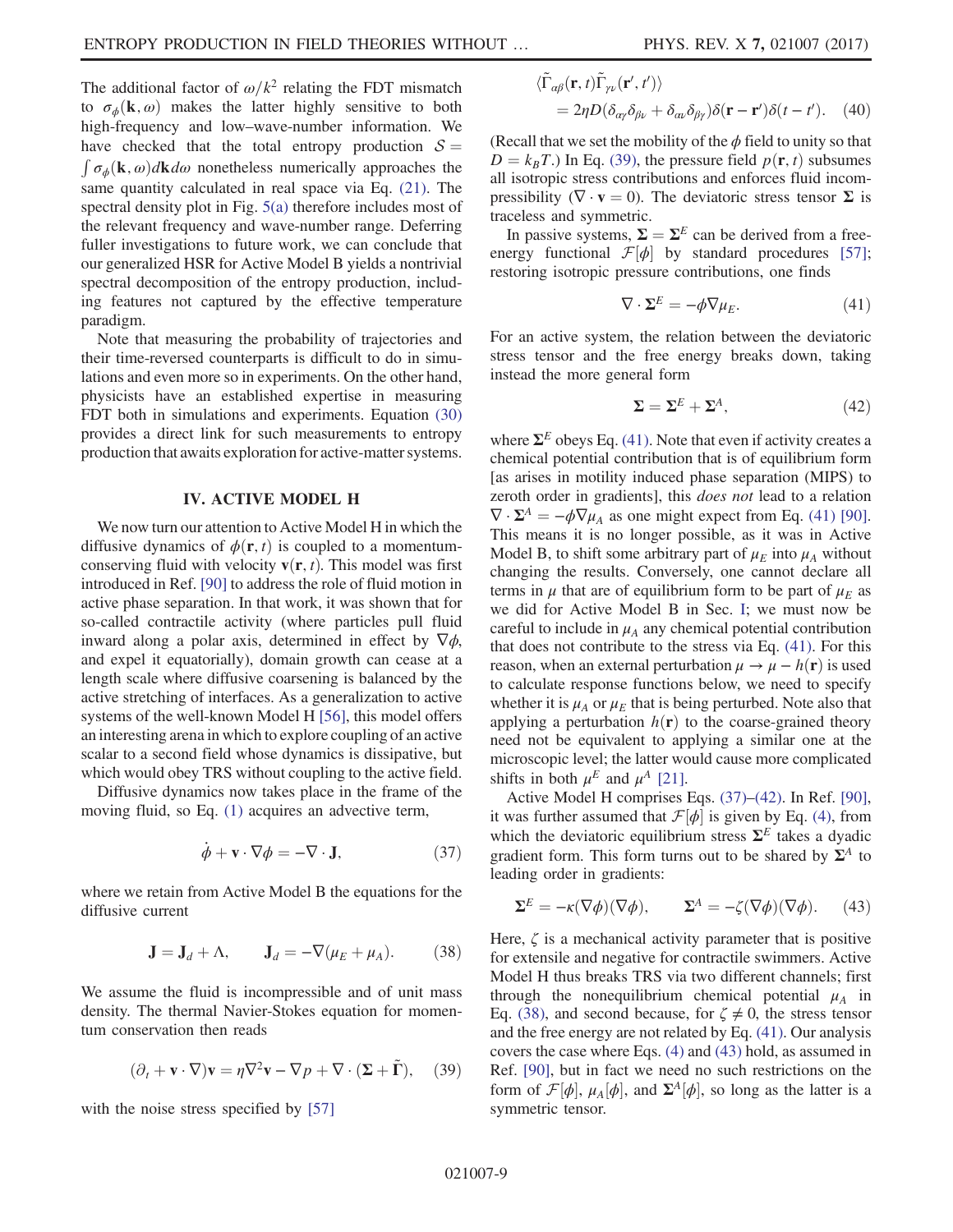The additional factor of  $\omega/k^2$  relating the FDT mismatch to  $\sigma_{\phi}(\mathbf{k}, \omega)$  makes the latter highly sensitive to both high-frequency and low–wave-number information. We have checked that the total entropy production  $S = \int \sigma_{\phi}(\mathbf{k}, \omega) d\mathbf{k} d\omega$  nonetheless numerically approaches the  $\sigma_{\phi}(\mathbf{k}, \omega) d\mathbf{k} d\omega$  nonetheless numerically approaches the<br>me quantity calculated in real space via Eq. (21). The same quantity calculated in real space via Eq. [\(21\).](#page-4-6) The spectral density plot in Fig. [5\(a\)](#page-7-1) therefore includes most of the relevant frequency and wave-number range. Deferring fuller investigations to future work, we can conclude that our generalized HSR for Active Model B yields a nontrivial spectral decomposition of the entropy production, including features not captured by the effective temperature paradigm.

Note that measuring the probability of trajectories and their time-reversed counterparts is difficult to do in simulations and even more so in experiments. On the other hand, physicists have an established expertise in measuring FDT both in simulations and experiments. Equation [\(30\)](#page-6-0) provides a direct link for such measurements to entropy production that awaits exploration for active-matter systems.

## IV. ACTIVE MODEL H

<span id="page-8-0"></span>We now turn our attention to Active Model H in which the diffusive dynamics of  $\phi(\mathbf{r}, t)$  is coupled to a momentumconserving fluid with velocity  $\mathbf{v}(\mathbf{r}, t)$ . This model was first introduced in Ref. [\[90\]](#page-18-13) to address the role of fluid motion in active phase separation. In that work, it was shown that for so-called contractile activity (where particles pull fluid inward along a polar axis, determined in effect by  $\nabla \phi$ , and expel it equatorially), domain growth can cease at a length scale where diffusive coarsening is balanced by the active stretching of interfaces. As a generalization to active systems of the well-known Model H [\[56\]](#page-17-6), this model offers an interesting arena in which to explore coupling of an active scalar to a second field whose dynamics is dissipative, but which would obey TRS without coupling to the active field.

<span id="page-8-3"></span>Diffusive dynamics now takes place in the frame of the moving fluid, so Eq. [\(1\)](#page-1-0) acquires an advective term,

$$
\dot{\phi} + \mathbf{v} \cdot \nabla \phi = -\nabla \cdot \mathbf{J},\tag{37}
$$

<span id="page-8-5"></span>where we retain from Active Model B the equations for the diffusive current

$$
\mathbf{J} = \mathbf{J}_d + \Lambda, \qquad \mathbf{J}_d = -\nabla(\mu_E + \mu_A). \tag{38}
$$

<span id="page-8-1"></span>We assume the fluid is incompressible and of unit mass density. The thermal Navier-Stokes equation for momentum conservation then reads

$$
(\partial_t + \mathbf{v} \cdot \nabla)\mathbf{v} = \eta \nabla^2 \mathbf{v} - \nabla p + \nabla \cdot (\mathbf{\Sigma} + \tilde{\mathbf{\Gamma}}), \quad (39)
$$

with the noise stress specified by [\[57\]](#page-17-16)

$$
\langle \tilde{\Gamma}_{\alpha\beta}(\mathbf{r},t)\tilde{\Gamma}_{\gamma\nu}(\mathbf{r}',t')\rangle \n=2\eta D(\delta_{\alpha\gamma}\delta_{\beta\nu}+\delta_{\alpha\nu}\delta_{\beta\gamma})\delta(\mathbf{r}-\mathbf{r}')\delta(t-t'). \quad (40)
$$

(Recall that we set the mobility of the  $\phi$  field to unity so that  $D = k_B T$ .) In Eq. [\(39\)](#page-8-1), the pressure field  $p(\mathbf{r}, t)$  subsumes all isotropic stress contributions and enforces fluid incompressibility ( $\nabla \cdot \mathbf{v} = 0$ ). The deviatoric stress tensor  $\Sigma$  is traceless and symmetric.

<span id="page-8-2"></span>In passive systems,  $\Sigma = \Sigma^E$  can be derived from a freeenergy functional  $\mathcal{F}[\phi]$  by standard procedures [\[57\]](#page-17-16);<br>restoring isotropic pressure contributions one finds restoring isotropic pressure contributions, one finds

$$
\nabla \cdot \mathbf{\Sigma}^E = -\phi \nabla \mu_E. \tag{41}
$$

<span id="page-8-4"></span>For an active system, the relation between the deviatoric stress tensor and the free energy breaks down, taking instead the more general form

$$
\Sigma = \Sigma^E + \Sigma^A, \tag{42}
$$

where  $\Sigma^E$  obeys Eq. [\(41\)](#page-8-2). Note that even if activity creates a chemical potential contribution that is of equilibrium form [as arises in motility induced phase separation (MIPS) to zeroth order in gradients], this *does not* lead to a relation  $\nabla \cdot \Sigma^A = -\phi \nabla \mu_A$  as one might expect from Eq. [\(41\)](#page-8-2) [\[90\]](#page-18-13). This means it is no longer possible, as it was in Active Model B, to shift some arbitrary part of  $\mu_E$  into  $\mu_A$  without changing the results. Conversely, one cannot declare all terms in  $\mu$  that are of equilibrium form to be part of  $\mu_E$  as we did for Active Model B in Sec. [I](#page-0-0); we must now be careful to include in  $\mu_A$  any chemical potential contribution that does not contribute to the stress via Eq. [\(41\).](#page-8-2) For this reason, when an external perturbation  $\mu \rightarrow \mu - h(\mathbf{r})$  is used to calculate response functions below, we need to specify whether it is  $\mu_A$  or  $\mu_E$  that is being perturbed. Note also that applying a perturbation  $h(\mathbf{r})$  to the coarse-grained theory need not be equivalent to applying a similar one at the microscopic level; the latter would cause more complicated shifts in both  $\mu^E$  and  $\mu^A$  [\[21\].](#page-16-8)

Active Model H comprises Eqs. [\(37\)](#page-8-3)–[\(42\)](#page-8-4). In Ref. [\[90\]](#page-18-13), it was further assumed that  $\mathcal{F}[\phi]$  is given by Eq. [\(4\)](#page-2-6), from<br>which the deviatoric equilibrium stress  $\Sigma^E$  takes a dyadic which the deviatoric equilibrium stress  $\Sigma^E$  takes a dyadic gradient form. This form turns out to be shared by  $\Sigma^A$  to leading order in gradients:

<span id="page-8-6"></span>
$$
\Sigma^{E} = -\kappa(\nabla\phi)(\nabla\phi), \qquad \Sigma^{A} = -\zeta(\nabla\phi)(\nabla\phi). \tag{43}
$$

Here,  $\zeta$  is a mechanical activity parameter that is positive for extensile and negative for contractile swimmers. Active Model H thus breaks TRS via two different channels; first through the nonequilibrium chemical potential  $\mu_A$  in Eq. [\(38\)](#page-8-5), and second because, for  $\zeta \neq 0$ , the stress tensor and the free energy are not related by Eq. [\(41\)](#page-8-2). Our analysis covers the case where Eqs. [\(4\)](#page-2-6) and [\(43\)](#page-8-6) hold, as assumed in Ref. [\[90\],](#page-18-13) but in fact we need no such restrictions on the form of  $\mathcal{F}[\phi], \mu_A[\phi]$ , and  $\Sigma^A[\phi]$ , so long as the latter is a symmetric tensor symmetric tensor.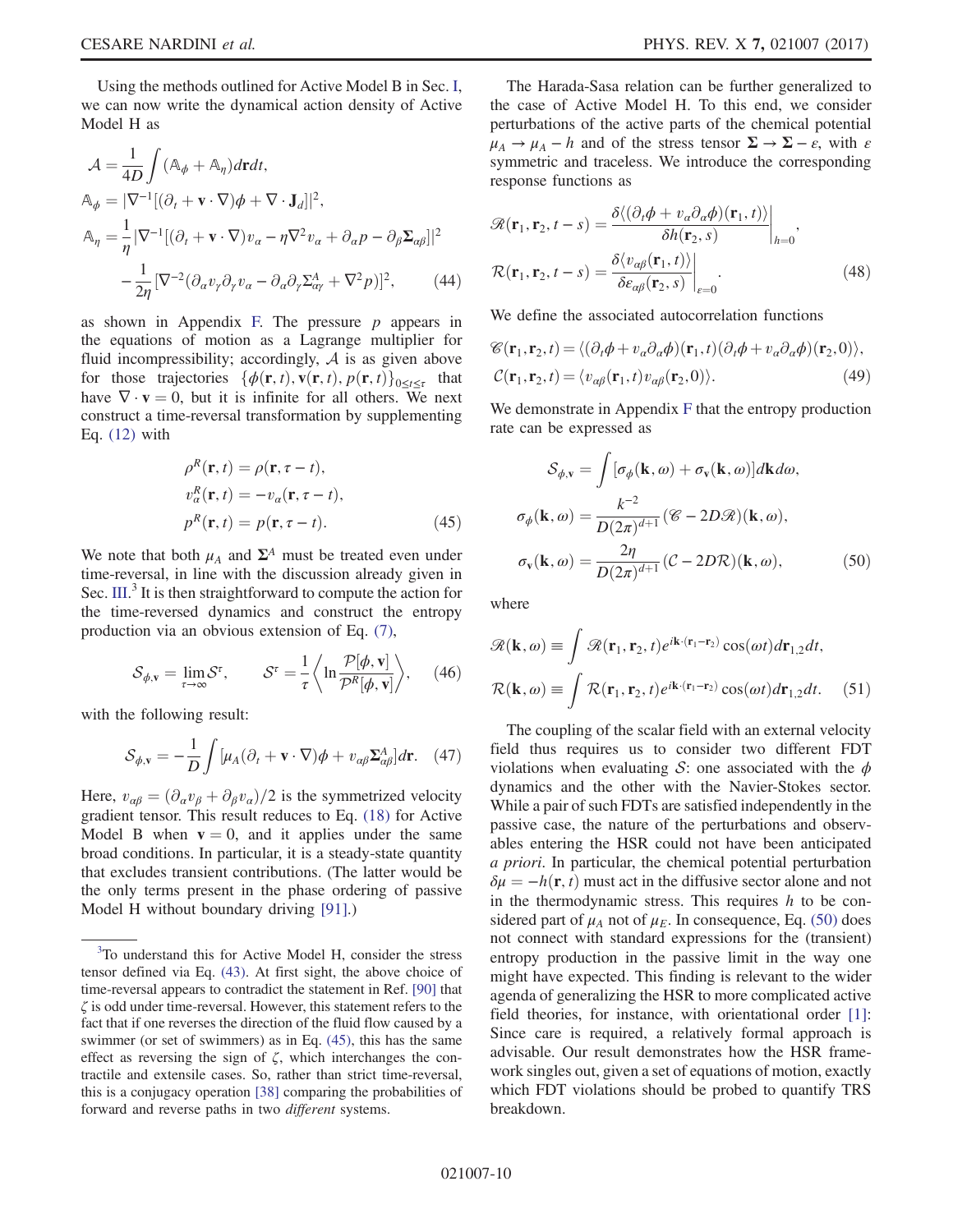<span id="page-9-2"></span>Using the methods outlined for Active Model B in Sec. [I](#page-0-0), we can now write the dynamical action density of Active Model H as

$$
\mathcal{A} = \frac{1}{4D} \int (\mathbf{A}_{\phi} + \mathbf{A}_{\eta}) d\mathbf{r} dt,
$$
  
\n
$$
\mathbf{A}_{\phi} = |\nabla^{-1} [(\partial_t + \mathbf{v} \cdot \nabla) \phi + \nabla \cdot \mathbf{J}_d]|^2,
$$
  
\n
$$
\mathbf{A}_{\eta} = \frac{1}{\eta} |\nabla^{-1} [(\partial_t + \mathbf{v} \cdot \nabla) v_{\alpha} - \eta \nabla^2 v_{\alpha} + \partial_{\alpha} p - \partial_{\beta} \Sigma_{\alpha \beta}]|^2
$$
  
\n
$$
- \frac{1}{2\eta} [\nabla^{-2} (\partial_{\alpha} v_{\gamma} \partial_{\gamma} v_{\alpha} - \partial_{\alpha} \partial_{\gamma} \Sigma_{\alpha \gamma}^A + \nabla^2 p)]^2,
$$
\n(44)

<span id="page-9-1"></span>as shown in Appendix [F.](#page-15-0) The pressure  $p$  appears in the equations of motion as a Lagrange multiplier for fluid incompressibility; accordingly,  $A$  is as given above for those trajectories  $\{\phi(\mathbf{r}, t), \mathbf{v}(\mathbf{r}, t), p(\mathbf{r}, t)\}_{0 \leq t \leq \tau}$  that have  $\nabla \cdot \mathbf{v} = 0$ , but it is infinite for all others. We next construct a time-reversal transformation by supplementing Eq. [\(12\)](#page-3-0) with

$$
\rho^{R}(\mathbf{r}, t) = \rho(\mathbf{r}, \tau - t),
$$
  
\n
$$
v_{\alpha}^{R}(\mathbf{r}, t) = -v_{\alpha}(\mathbf{r}, \tau - t),
$$
  
\n
$$
p^{R}(\mathbf{r}, t) = p(\mathbf{r}, \tau - t).
$$
\n(45)

We note that both  $\mu_A$  and  $\Sigma^A$  must be treated even under time-reversal, in line with the discussion already given in Sec. [III.](#page-2-0)<sup>3</sup> It is then straightforward to compute the action for the time-reversed dynamics and construct the entropy production via an obvious extension of Eq. [\(7\),](#page-2-2)

$$
S_{\phi,\mathbf{v}} = \lim_{\tau \to \infty} S^{\tau}, \qquad S^{\tau} = \frac{1}{\tau} \left\langle \ln \frac{\mathcal{P}[\phi, \mathbf{v}]}{\mathcal{P}^{R}[\phi, \mathbf{v}]} \right\rangle, \tag{46}
$$

<span id="page-9-3"></span>with the following result:

$$
S_{\phi,\mathbf{v}} = -\frac{1}{D} \int [\mu_A(\partial_t + \mathbf{v} \cdot \nabla)\phi + v_{\alpha\beta} \Sigma_{\alpha\beta}^A] d\mathbf{r}.
$$
 (47)

Here,  $v_{\alpha\beta} = (\partial_{\alpha}v_{\beta} + \partial_{\beta}v_{\alpha})/2$  is the symmetrized velocity gradient tensor. This result reduces to Eq. [\(18\)](#page-3-3) for Active Model B when  $v = 0$ , and it applies under the same broad conditions. In particular, it is a steady-state quantity that excludes transient contributions. (The latter would be the only terms present in the phase ordering of passive Model H without boundary driving [\[91\]](#page-18-14).)

The Harada-Sasa relation can be further generalized to the case of Active Model H. To this end, we consider perturbations of the active parts of the chemical potential  $\mu_A \rightarrow \mu_A - h$  and of the stress tensor  $\Sigma \rightarrow \Sigma - \varepsilon$ , with  $\varepsilon$ symmetric and traceless. We introduce the corresponding response functions as

$$
\mathcal{R}(\mathbf{r}_1, \mathbf{r}_2, t - s) = \frac{\delta \langle (\partial_t \phi + v_a \partial_a \phi)(\mathbf{r}_1, t) \rangle}{\delta h(\mathbf{r}_2, s)} \Big|_{h=0},
$$
\n
$$
\mathcal{R}(\mathbf{r}_1, \mathbf{r}_2, t - s) = \frac{\delta \langle v_{\alpha\beta}(\mathbf{r}_1, t) \rangle}{\delta \varepsilon_{\alpha\beta}(\mathbf{r}_2, s)} \Big|_{\varepsilon=0}.
$$
\n(48)

<span id="page-9-4"></span>We define the associated autocorrelation functions

$$
\mathcal{C}(\mathbf{r}_1, \mathbf{r}_2, t) = \langle (\partial_t \phi + v_\alpha \partial_\alpha \phi)(\mathbf{r}_1, t)(\partial_t \phi + v_\alpha \partial_\alpha \phi)(\mathbf{r}_2, 0) \rangle,
$$
  
\n
$$
\mathcal{C}(\mathbf{r}_1, \mathbf{r}_2, t) = \langle v_{\alpha\beta}(\mathbf{r}_1, t) v_{\alpha\beta}(\mathbf{r}_2, 0) \rangle.
$$
 (49)

<span id="page-9-0"></span>We demonstrate in Appendix [F](#page-15-0) that the entropy production rate can be expressed as

$$
S_{\phi,\mathbf{v}} = \int [\sigma_{\phi}(\mathbf{k}, \omega) + \sigma_{\mathbf{v}}(\mathbf{k}, \omega)] d\mathbf{k} d\omega,
$$
  
\n
$$
\sigma_{\phi}(\mathbf{k}, \omega) = \frac{k^{-2}}{D(2\pi)^{d+1}} (\mathcal{C} - 2D\mathcal{R})(\mathbf{k}, \omega),
$$
  
\n
$$
\sigma_{\mathbf{v}}(\mathbf{k}, \omega) = \frac{2\eta}{D(2\pi)^{d+1}} (\mathcal{C} - 2D\mathcal{R})(\mathbf{k}, \omega),
$$
 (50)

where

$$
\mathcal{R}(\mathbf{k}, \omega) \equiv \int \mathcal{R}(\mathbf{r}_1, \mathbf{r}_2, t) e^{i\mathbf{k} \cdot (\mathbf{r}_1 - \mathbf{r}_2)} \cos(\omega t) d\mathbf{r}_{1,2} dt,
$$
  

$$
\mathcal{R}(\mathbf{k}, \omega) \equiv \int \mathcal{R}(\mathbf{r}_1, \mathbf{r}_2, t) e^{i\mathbf{k} \cdot (\mathbf{r}_1 - \mathbf{r}_2)} \cos(\omega t) d\mathbf{r}_{1,2} dt.
$$
 (51)

The coupling of the scalar field with an external velocity field thus requires us to consider two different FDT violations when evaluating S: one associated with the  $\phi$ dynamics and the other with the Navier-Stokes sector. While a pair of such FDTs are satisfied independently in the passive case, the nature of the perturbations and observables entering the HSR could not have been anticipated a priori. In particular, the chemical potential perturbation  $\delta \mu = -h(\mathbf{r}, t)$  must act in the diffusive sector alone and not in the thermodynamic stress. This requires  $h$  to be considered part of  $\mu_A$  not of  $\mu_E$ . In consequence, Eq. [\(50\)](#page-9-0) does not connect with standard expressions for the (transient) entropy production in the passive limit in the way one might have expected. This finding is relevant to the wider agenda of generalizing the HSR to more complicated active field theories, for instance, with orientational order [\[1\]](#page-16-0): Since care is required, a relatively formal approach is advisable. Our result demonstrates how the HSR framework singles out, given a set of equations of motion, exactly which FDT violations should be probed to quantify TRS breakdown.

<sup>&</sup>lt;sup>3</sup>To understand this for Active Model H, consider the stress tensor defined via Eq. [\(43\).](#page-8-6) At first sight, the above choice of time-reversal appears to contradict the statement in Ref. [\[90\]](#page-18-13) that  $\zeta$  is odd under time-reversal. However, this statement refers to the fact that if one reverses the direction of the fluid flow caused by a swimmer (or set of swimmers) as in Eq. [\(45\),](#page-9-1) this has the same effect as reversing the sign of  $\zeta$ , which interchanges the contractile and extensile cases. So, rather than strict time-reversal, this is a conjugacy operation [\[38\]](#page-17-2) comparing the probabilities of forward and reverse paths in two different systems.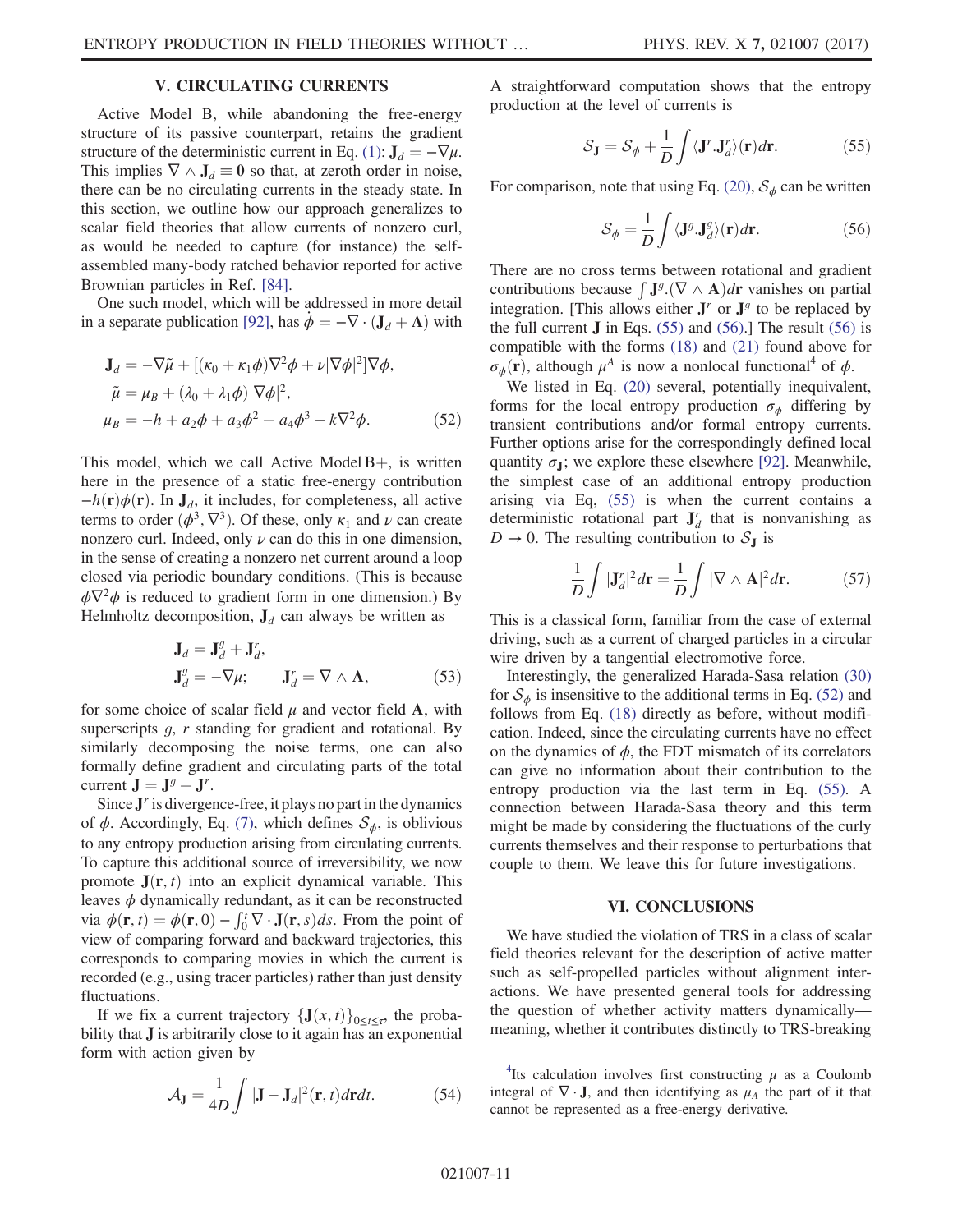# V. CIRCULATING CURRENTS

<span id="page-10-0"></span>Active Model B, while abandoning the free-energy structure of its passive counterpart, retains the gradient structure of the deterministic current in Eq. [\(1\):](#page-1-0)  $J_d = -\nabla \mu$ . This implies  $\nabla \wedge \mathbf{J}_d \equiv \mathbf{0}$  so that, at zeroth order in noise, there can be no circulating currents in the steady state. In this section, we outline how our approach generalizes to scalar field theories that allow currents of nonzero curl, as would be needed to capture (for instance) the selfassembled many-body ratched behavior reported for active Brownian particles in Ref. [\[84\]](#page-18-8).

<span id="page-10-4"></span>One such model, which will be addressed in more detail in a separate publication [\[92\]](#page-18-15), has  $\phi = -\nabla \cdot (\mathbf{J}_d + \mathbf{\Lambda})$  with

$$
\mathbf{J}_d = -\nabla \tilde{\mu} + [(\kappa_0 + \kappa_1 \phi) \nabla^2 \phi + \nu |\nabla \phi|^2] \nabla \phi,
$$
  
\n
$$
\tilde{\mu} = \mu_B + (\lambda_0 + \lambda_1 \phi) |\nabla \phi|^2,
$$
  
\n
$$
\mu_B = -h + a_2 \phi + a_3 \phi^2 + a_4 \phi^3 - k \nabla^2 \phi.
$$
\n(52)

This model, which we call Active Model  $B+$ , is written here in the presence of a static free-energy contribution  $-h(\mathbf{r})\phi(\mathbf{r})$ . In  $\mathbf{J}_d$ , it includes, for completeness, all active terms to order  $(\phi^3, \nabla^3)$ . Of these, only  $\kappa_1$  and  $\nu$  can create nonzero curl. Indeed, only  $\nu$  can do this in one dimension, in the sense of creating a nonzero net current around a loop closed via periodic boundary conditions. (This is because  $\phi \nabla^2 \phi$  is reduced to gradient form in one dimension.) By Helmholtz decomposition,  $J_d$  can always be written as

$$
\mathbf{J}_d = \mathbf{J}_d^g + \mathbf{J}_d^r,
$$
  
\n
$$
\mathbf{J}_d^g = -\nabla \mu; \qquad \mathbf{J}_d^r = \nabla \wedge \mathbf{A}, \qquad (53)
$$

for some choice of scalar field  $\mu$  and vector field **A**, with superscripts  $q$ ,  $r$  standing for gradient and rotational. By similarly decomposing the noise terms, one can also formally define gradient and circulating parts of the total current  $\mathbf{J} = \mathbf{J}^g + \mathbf{J}^r$ .

Since  $J<sup>r</sup>$  is divergence-free, it plays no part in the dynamics of  $\phi$ . Accordingly, Eq. [\(7\),](#page-2-2) which defines  $\mathcal{S}_{\phi}$ , is oblivious to any entropy production arising from circulating currents. To capture this additional source of irreversibility, we now promote  $J(r, t)$  into an explicit dynamical variable. This leaves  $\phi$  dynamically redundant, as it can be reconstructed via  $\phi(\mathbf{r}, t) = \phi(\mathbf{r}, 0) - \int_0^t \nabla \cdot \mathbf{J}(\mathbf{r}, s) ds$ . From the point of view of comparing forward and backward trajectories, this corresponds to comparing movies in which the current is recorded (e.g., using tracer particles) rather than just density fluctuations.

If we fix a current trajectory  $\{J(x, t)\}_{0 \leq t \leq \tau}$ , the probability that J is arbitrarily close to it again has an exponential form with action given by

$$
\mathcal{A}_{\mathbf{J}} = \frac{1}{4D} \int |\mathbf{J} - \mathbf{J}_d|^2(\mathbf{r}, t) d\mathbf{r} dt.
$$
 (54)

<span id="page-10-2"></span>A straightforward computation shows that the entropy production at the level of currents is

$$
S_{\mathbf{J}} = S_{\phi} + \frac{1}{D} \int \langle \mathbf{J}^r \mathbf{J}_d^r \rangle(\mathbf{r}) d\mathbf{r}.
$$
 (55)

<span id="page-10-3"></span>For comparison, note that using Eq. [\(20\),](#page-4-7)  $S_{\phi}$  can be written

$$
S_{\phi} = \frac{1}{D} \int \langle \mathbf{J}^g \mathbf{J}_d^g \rangle(\mathbf{r}) d\mathbf{r}.
$$
 (56)

There are no cross terms between rotational and gradient contributions because  $\int J^g(\nabla \wedge \mathbf{A})d\mathbf{r}$  vanishes on partial<br>integration. This allows either  $\mathbf{F}$  or  $\mathbf{I}^g$  to be replaced by integration. [This allows either  $J^r$  or  $J^g$  to be replaced by the full current  $J$  in Eqs. [\(55\)](#page-10-2) and [\(56\).](#page-10-3)] The result [\(56\)](#page-10-3) is compatible with the forms [\(18\)](#page-3-3) and [\(21\)](#page-4-6) found above for  $\sigma_{\phi}(\mathbf{r})$ , although  $\mu^A$  is now a nonlocal functional<sup>4</sup> of  $\phi$ .

We listed in Eq. [\(20\)](#page-4-7) several, potentially inequivalent, forms for the local entropy production  $\sigma_{\phi}$  differing by transient contributions and/or formal entropy currents. Further options arise for the correspondingly defined local quantity  $\sigma_{\rm J}$ ; we explore these elsewhere [\[92\].](#page-18-15) Meanwhile, the simplest case of an additional entropy production arising via Eq, [\(55\)](#page-10-2) is when the current contains a deterministic rotational part  $J_d^r$  that is nonvanishing as  $D \rightarrow 0$ . The resulting contribution to  $S_J$  is

$$
\frac{1}{D} \int |\mathbf{J}_d^r|^2 d\mathbf{r} = \frac{1}{D} \int |\nabla \wedge \mathbf{A}|^2 d\mathbf{r}.
$$
 (57)

This is a classical form, familiar from the case of external driving, such as a current of charged particles in a circular wire driven by a tangential electromotive force.

Interestingly, the generalized Harada-Sasa relation [\(30\)](#page-6-0) for  $S_{\phi}$  is insensitive to the additional terms in Eq. [\(52\)](#page-10-4) and follows from Eq. [\(18\)](#page-3-3) directly as before, without modification. Indeed, since the circulating currents have no effect on the dynamics of  $\phi$ , the FDT mismatch of its correlators can give no information about their contribution to the entropy production via the last term in Eq. [\(55\)](#page-10-2). A connection between Harada-Sasa theory and this term might be made by considering the fluctuations of the curly currents themselves and their response to perturbations that couple to them. We leave this for future investigations.

## VI. CONCLUSIONS

<span id="page-10-1"></span>We have studied the violation of TRS in a class of scalar field theories relevant for the description of active matter such as self-propelled particles without alignment interactions. We have presented general tools for addressing the question of whether activity matters dynamically meaning, whether it contributes distinctly to TRS-breaking

<sup>&</sup>lt;sup>4</sup>Its calculation involves first constructing  $\mu$  as a Coulomb integral of  $\nabla \cdot \mathbf{J}$ , and then identifying as  $\mu_A$  the part of it that cannot be represented as a free-energy derivative.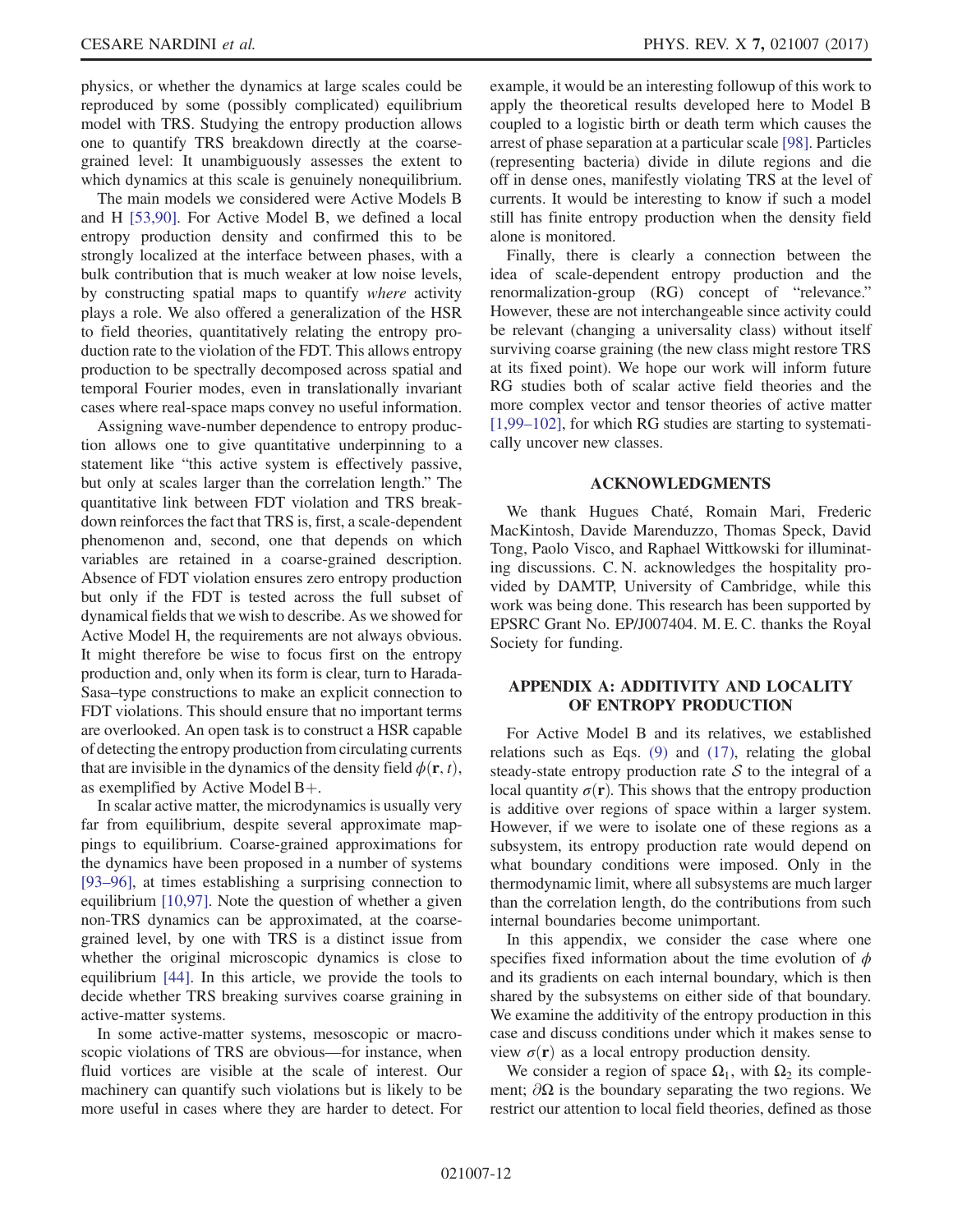physics, or whether the dynamics at large scales could be reproduced by some (possibly complicated) equilibrium model with TRS. Studying the entropy production allows one to quantify TRS breakdown directly at the coarsegrained level: It unambiguously assesses the extent to which dynamics at this scale is genuinely nonequilibrium.

The main models we considered were Active Models B and H [\[53,90\].](#page-17-4) For Active Model B, we defined a local entropy production density and confirmed this to be strongly localized at the interface between phases, with a bulk contribution that is much weaker at low noise levels, by constructing spatial maps to quantify where activity plays a role. We also offered a generalization of the HSR to field theories, quantitatively relating the entropy production rate to the violation of the FDT. This allows entropy production to be spectrally decomposed across spatial and temporal Fourier modes, even in translationally invariant cases where real-space maps convey no useful information.

Assigning wave-number dependence to entropy production allows one to give quantitative underpinning to a statement like "this active system is effectively passive, but only at scales larger than the correlation length." The quantitative link between FDT violation and TRS breakdown reinforces the fact that TRS is, first, a scale-dependent phenomenon and, second, one that depends on which variables are retained in a coarse-grained description. Absence of FDT violation ensures zero entropy production but only if the FDT is tested across the full subset of dynamical fields that we wish to describe. As we showed for Active Model H, the requirements are not always obvious. It might therefore be wise to focus first on the entropy production and, only when its form is clear, turn to Harada-Sasa–type constructions to make an explicit connection to FDT violations. This should ensure that no important terms are overlooked. An open task is to construct a HSR capable of detecting the entropy production from circulating currents that are invisible in the dynamics of the density field  $\phi(\mathbf{r}, t)$ , as exemplified by Active Model  $B+$ .

In scalar active matter, the microdynamics is usually very far from equilibrium, despite several approximate mappings to equilibrium. Coarse-grained approximations for the dynamics have been proposed in a number of systems [\[93](#page-18-16)–96], at times establishing a surprising connection to equilibrium [\[10,97\].](#page-16-4) Note the question of whether a given non-TRS dynamics can be approximated, at the coarsegrained level, by one with TRS is a distinct issue from whether the original microscopic dynamics is close to equilibrium [\[44\]](#page-17-17). In this article, we provide the tools to decide whether TRS breaking survives coarse graining in active-matter systems.

In some active-matter systems, mesoscopic or macroscopic violations of TRS are obvious—for instance, when fluid vortices are visible at the scale of interest. Our machinery can quantify such violations but is likely to be more useful in cases where they are harder to detect. For example, it would be an interesting followup of this work to apply the theoretical results developed here to Model B coupled to a logistic birth or death term which causes the arrest of phase separation at a particular scale [\[98\].](#page-18-17) Particles (representing bacteria) divide in dilute regions and die off in dense ones, manifestly violating TRS at the level of currents. It would be interesting to know if such a model still has finite entropy production when the density field alone is monitored.

Finally, there is clearly a connection between the idea of scale-dependent entropy production and the renormalization-group (RG) concept of "relevance." However, these are not interchangeable since activity could be relevant (changing a universality class) without itself surviving coarse graining (the new class might restore TRS at its fixed point). We hope our work will inform future RG studies both of scalar active field theories and the more complex vector and tensor theories of active matter [\[1,99](#page-16-0)–102], for which RG studies are starting to systematically uncover new classes.

#### ACKNOWLEDGMENTS

We thank Hugues Chaté, Romain Mari, Frederic MacKintosh, Davide Marenduzzo, Thomas Speck, David Tong, Paolo Visco, and Raphael Wittkowski for illuminating discussions. C. N. acknowledges the hospitality provided by DAMTP, University of Cambridge, while this work was being done. This research has been supported by EPSRC Grant No. EP/J007404. M. E. C. thanks the Royal Society for funding.

# <span id="page-11-0"></span>APPENDIX A: ADDITIVITY AND LOCALITY OF ENTROPY PRODUCTION

For Active Model B and its relatives, we established relations such as Eqs. [\(9\)](#page-2-5) and [\(17\),](#page-3-4) relating the global steady-state entropy production rate  $S$  to the integral of a local quantity  $\sigma(\mathbf{r})$ . This shows that the entropy production is additive over regions of space within a larger system. However, if we were to isolate one of these regions as a subsystem, its entropy production rate would depend on what boundary conditions were imposed. Only in the thermodynamic limit, where all subsystems are much larger than the correlation length, do the contributions from such internal boundaries become unimportant.

In this appendix, we consider the case where one specifies fixed information about the time evolution of  $\phi$ and its gradients on each internal boundary, which is then shared by the subsystems on either side of that boundary. We examine the additivity of the entropy production in this case and discuss conditions under which it makes sense to view  $\sigma(\mathbf{r})$  as a local entropy production density.

We consider a region of space  $\Omega_1$ , with  $\Omega_2$  its complement;  $\partial\Omega$  is the boundary separating the two regions. We restrict our attention to local field theories, defined as those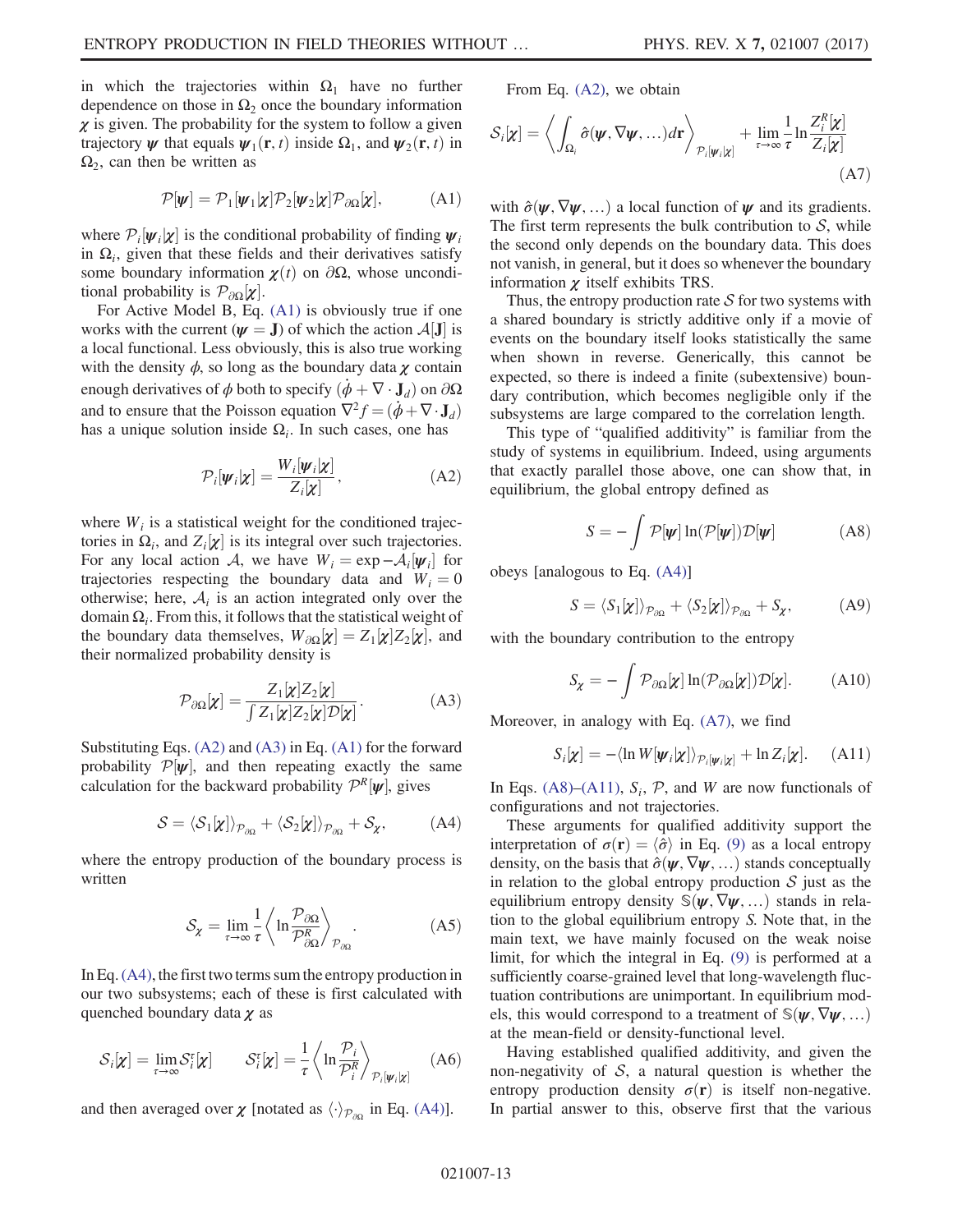<span id="page-12-0"></span>in which the trajectories within  $\Omega_1$  have no further dependence on those in  $\Omega_2$  once the boundary information  $\chi$  is given. The probability for the system to follow a given trajectory  $\psi$  that equals  $\psi_1(\mathbf{r}, t)$  inside  $\Omega_1$ , and  $\psi_2(\mathbf{r}, t)$  in  $\Omega_2$ , can then be written as

$$
\mathcal{P}[\boldsymbol{\psi}] = \mathcal{P}_1[\boldsymbol{\psi}_1|\boldsymbol{\chi}]\mathcal{P}_2[\boldsymbol{\psi}_2|\boldsymbol{\chi}]\mathcal{P}_{\partial\Omega}[\boldsymbol{\chi}], \tag{A1}
$$

where  $\mathcal{P}_i[\psi_i|\chi]$  is the conditional probability of finding  $\psi_i$ <br>in O<sub>r</sub> given that these fields and their derivatives satisfy in  $\Omega_i$ , given that these fields and their derivatives satisfy some boundary information  $\chi(t)$  on  $\partial\Omega$ , whose unconditional probability is  $\mathcal{P}_{\partial \Omega}[\chi]$ .<br>For Active Model B, Eq.

<span id="page-12-1"></span>For Active Model B, Eq. [\(A1\)](#page-12-0) is obviously true if one works with the current  $(\psi = J)$  of which the action  $\mathcal{A}[J]$  is<br>a local functional Less obviously this is also true working a local functional. Less obviously, this is also true working with the density  $\phi$ , so long as the boundary data  $\chi$  contain enough derivatives of  $\phi$  both to specify  $(\dot{\phi} + \nabla \cdot \mathbf{J}_d)$  on  $\partial \Omega$ and to ensure that the Poisson equation  $\nabla^2 f = (\dot{\phi} + \nabla \cdot \mathbf{J}_d)$ has a unique solution inside  $\Omega_i$ . In such cases, one has

$$
\mathcal{P}_i[\boldsymbol{\psi}_i|\boldsymbol{\chi}] = \frac{W_i[\boldsymbol{\psi}_i|\boldsymbol{\chi}]}{Z_i[\boldsymbol{\chi}]},
$$
\n(A2)

<span id="page-12-2"></span>where  $W_i$  is a statistical weight for the conditioned trajectories in  $\Omega_i$ , and  $Z_i[\chi]$  is its integral over such trajectories.<br>For any local action 4, we have  $W_i = \exp{-4i[\mu_i]}$  for For any local action A, we have  $W_i = \exp{-\lambda_i[\psi_i]}$  for trajectories respecting the boundary data and  $W_i = 0$ trajectories respecting the boundary data and  $W_i = 0$ otherwise; here,  $A_i$  is an action integrated only over the domain  $\Omega_i$ . From this, it follows that the statistical weight of the boundary data themselves,  $W_{\partial\Omega}[\chi] = Z_1[\chi]Z_2[\chi]$ , and their normalized probability density is their normalized probability density is

$$
\mathcal{P}_{\partial\Omega}[\boldsymbol{\chi}] = \frac{Z_1[\boldsymbol{\chi}]Z_2[\boldsymbol{\chi}]}{\int Z_1[\boldsymbol{\chi}]Z_2[\boldsymbol{\chi}]\mathcal{D}[\boldsymbol{\chi}]}.
$$
 (A3)

<span id="page-12-3"></span>Substituting Eqs. [\(A2\)](#page-12-1) and [\(A3\)](#page-12-2) in Eq. [\(A1\)](#page-12-0) for the forward probability  $\mathcal{P}[\psi]$ , and then repeating exactly the same<br>calculation for the backward probability  $\mathcal{P}^R[\psi]$  gives calculation for the backward probability  $\mathcal{P}^R[\psi]$ , gives

$$
S = \langle S_1[\chi] \rangle_{\mathcal{P}_{\partial\Omega}} + \langle S_2[\chi] \rangle_{\mathcal{P}_{\partial\Omega}} + S_{\chi}, \tag{A4}
$$

where the entropy production of the boundary process is written

$$
S_{\chi} = \lim_{\tau \to \infty} \frac{1}{\tau} \left\langle \ln \frac{\mathcal{P}_{\partial \Omega}}{\mathcal{P}_{\partial \Omega}^{R}} \right\rangle_{\mathcal{P}_{\partial \Omega}}.
$$
 (A5)

In Eq.  $(A4)$ , the first two terms sum the entropy production in our two subsystems; each of these is first calculated with quenched boundary data  $\chi$  as

$$
S_i[\chi] = \lim_{\tau \to \infty} S_i^{\tau}[\chi] \qquad S_i^{\tau}[\chi] = \frac{1}{\tau} \left\langle \ln \frac{\mathcal{P}_i}{\mathcal{P}_i^R} \right\rangle_{\mathcal{P}_i[\psi_i|\chi]} \quad (A6)
$$

and then averaged over  $\chi$  [notated as  $\langle \cdot \rangle_{P_{\partial\Omega}}$  in Eq. [\(A4\)\]](#page-12-3).

<span id="page-12-4"></span>From Eq. [\(A2\)](#page-12-1), we obtain

$$
S_i[\chi] = \left\langle \int_{\Omega_i} \hat{\sigma}(\boldsymbol{\psi}, \nabla \boldsymbol{\psi}, \ldots) d\mathbf{r} \right\rangle_{\mathcal{P}_i[\boldsymbol{\psi}_i|\chi]} + \lim_{\tau \to \infty} \frac{1}{\tau} \ln \frac{Z_i^R[\chi]}{Z_i[\chi]}
$$
(A7)

with  $\hat{\sigma}(\psi, \nabla \psi, \ldots)$  a local function of  $\psi$  and its gradients. The first term represents the bulk contribution to  $S$ , while the second only depends on the boundary data. This does not vanish, in general, but it does so whenever the boundary information  $\chi$  itself exhibits TRS.

Thus, the entropy production rate  $S$  for two systems with a shared boundary is strictly additive only if a movie of events on the boundary itself looks statistically the same when shown in reverse. Generically, this cannot be expected, so there is indeed a finite (subextensive) boundary contribution, which becomes negligible only if the subsystems are large compared to the correlation length.

<span id="page-12-5"></span>This type of "qualified additivity" is familiar from the study of systems in equilibrium. Indeed, using arguments that exactly parallel those above, one can show that, in equilibrium, the global entropy defined as

$$
S = -\int \mathcal{P}[\psi] \ln(\mathcal{P}[\psi]) \mathcal{D}[\psi]
$$
 (A8)

obeys [analogous to Eq. [\(A4\)](#page-12-3)]

$$
S = \langle S_1[\chi] \rangle_{\mathcal{P}_{\partial\Omega}} + \langle S_2[\chi] \rangle_{\mathcal{P}_{\partial\Omega}} + S_{\chi}, \tag{A9}
$$

with the boundary contribution to the entropy

$$
S_{\chi} = -\int \mathcal{P}_{\partial \Omega}[\chi] \ln(\mathcal{P}_{\partial \Omega}[\chi]) \mathcal{D}[\chi]. \quad (A10)
$$

<span id="page-12-6"></span>Moreover, in analogy with Eq. [\(A7\),](#page-12-4) we find

$$
S_i[\chi] = -\langle \ln W[\psi_i|\chi] \rangle_{\mathcal{P}_i[\psi_i|\chi]} + \ln Z_i[\chi]. \quad \text{(A11)}
$$

In Eqs. [\(A8\)](#page-12-5)–[\(A11\)](#page-12-6),  $S_i$ ,  $P$ , and W are now functionals of configurations and not trajectories.

These arguments for qualified additivity support the interpretation of  $\sigma(\mathbf{r}) = \langle \hat{\sigma} \rangle$  in Eq. [\(9\)](#page-2-5) as a local entropy density, on the basis that  $\hat{\sigma}(\psi, \nabla \psi, ...)$  stands conceptually in relation to the global entropy production  $\mathcal S$  just as the equilibrium entropy density  $\mathcal{S}(\psi, \nabla \psi, ...)$  stands in relation to the global equilibrium entropy S. Note that, in the main text, we have mainly focused on the weak noise limit, for which the integral in Eq. [\(9\)](#page-2-5) is performed at a sufficiently coarse-grained level that long-wavelength fluctuation contributions are unimportant. In equilibrium models, this would correspond to a treatment of  $\mathcal{S}(\psi, \nabla \psi, ...)$ at the mean-field or density-functional level.

Having established qualified additivity, and given the non-negativity of  $S$ , a natural question is whether the entropy production density  $\sigma(\mathbf{r})$  is itself non-negative. In partial answer to this, observe first that the various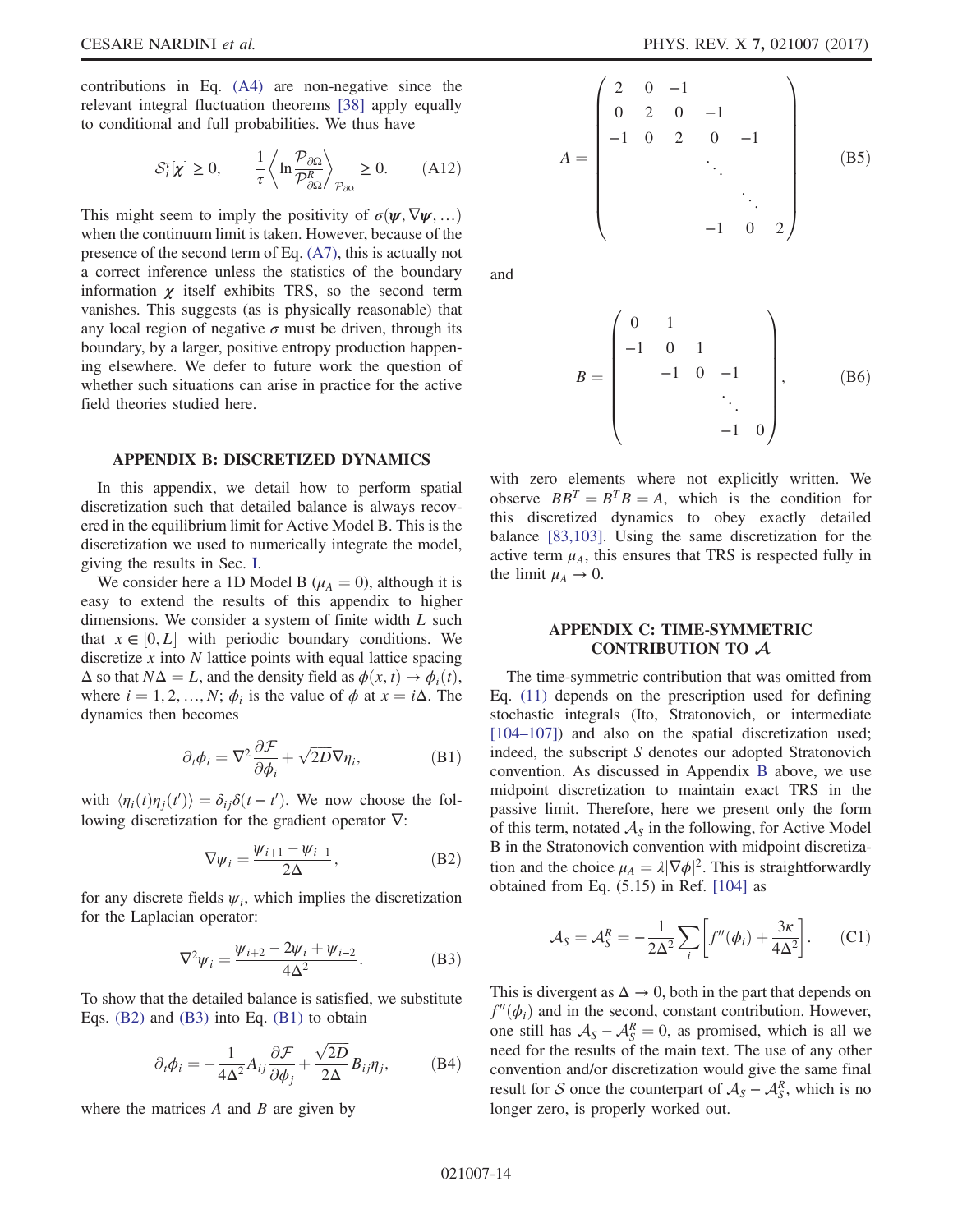contributions in Eq. [\(A4\)](#page-12-3) are non-negative since the relevant integral fluctuation theorems [\[38\]](#page-17-2) apply equally to conditional and full probabilities. We thus have

$$
\mathcal{S}_i^{\tau}[\chi] \ge 0, \qquad \frac{1}{\tau} \left\langle \ln \frac{\mathcal{P}_{\partial \Omega}}{\mathcal{P}_{\partial \Omega}^R} \right\rangle_{\mathcal{P}_{\partial \Omega}} \ge 0. \tag{A12}
$$

This might seem to imply the positivity of  $\sigma(\psi, \nabla \psi, ...)$ when the continuum limit is taken. However, because of the presence of the second term of Eq. [\(A7\),](#page-12-4) this is actually not a correct inference unless the statistics of the boundary information  $\chi$  itself exhibits TRS, so the second term vanishes. This suggests (as is physically reasonable) that any local region of negative  $\sigma$  must be driven, through its boundary, by a larger, positive entropy production happening elsewhere. We defer to future work the question of whether such situations can arise in practice for the active field theories studied here.

## <span id="page-13-0"></span>APPENDIX B: DISCRETIZED DYNAMICS

In this appendix, we detail how to perform spatial discretization such that detailed balance is always recovered in the equilibrium limit for Active Model B. This is the discretization we used to numerically integrate the model, giving the results in Sec. [I](#page-0-0).

<span id="page-13-4"></span>We consider here a 1D Model B ( $\mu_A = 0$ ), although it is easy to extend the results of this appendix to higher dimensions. We consider a system of finite width  $L$  such that  $x \in [0, L]$  with periodic boundary conditions. We discretize x into N lattice points with equal lattice spacing discretize  $x$  into  $N$  lattice points with equal lattice spacing  $\Delta$  so that  $N\Delta = L$ , and the density field as  $\phi(x, t) \rightarrow \phi_i(t)$ , where  $i = 1, 2, ..., N$ ;  $\phi_i$  is the value of  $\phi$  at  $x = i\Delta$ . The dynamics then becomes

$$
\partial_t \phi_i = \nabla^2 \frac{\partial \mathcal{F}}{\partial \phi_i} + \sqrt{2D} \nabla \eta_i, \tag{B1}
$$

<span id="page-13-2"></span>with  $\langle \eta_i(t)\eta_j(t') \rangle = \delta_{ij}\delta(t-t')$ . We now choose the fol-<br>lowing discretization for the gradient operator  $\nabla$ . lowing discretization for the gradient operator ∇:

$$
\nabla \psi_i = \frac{\psi_{i+1} - \psi_{i-1}}{2\Delta},\tag{B2}
$$

<span id="page-13-3"></span>for any discrete fields  $\psi_i$ , which implies the discretization for the Laplacian operator:

$$
\nabla^2 \psi_i = \frac{\psi_{i+2} - 2\psi_i + \psi_{i-2}}{4\Delta^2}.
$$
 (B3)

To show that the detailed balance is satisfied, we substitute Eqs. [\(B2\)](#page-13-2) and [\(B3\)](#page-13-3) into Eq. [\(B1\)](#page-13-4) to obtain

$$
\partial_t \phi_i = -\frac{1}{4\Delta^2} A_{ij} \frac{\partial \mathcal{F}}{\partial \phi_j} + \frac{\sqrt{2D}}{2\Delta} B_{ij} \eta_j, \tag{B4}
$$

where the matrices  $A$  and  $B$  are given by

$$
A = \begin{pmatrix} 2 & 0 & -1 & & & \\ 0 & 2 & 0 & -1 & & \\ -1 & 0 & 2 & 0 & -1 & \\ & & & \ddots & & \\ & & & & \ddots & \\ & & & & & \ddots \\ & & & & & & \ddots \\ & & & & & & -1 & 0 & 2 \end{pmatrix}
$$
 (B5)

<span id="page-13-5"></span>and

$$
B = \begin{pmatrix} 0 & 1 & & & \\ -1 & 0 & 1 & & \\ & -1 & 0 & -1 & \\ & & & \ddots & \\ & & & & -1 & 0 \end{pmatrix}, \quad (B6)
$$

with zero elements where not explicitly written. We observe  $BB^T = B^T B = A$ , which is the condition for this discretized dynamics to obey exactly detailed balance [\[83,103\]](#page-18-7). Using the same discretization for the active term  $\mu_A$ , this ensures that TRS is respected fully in the limit  $\mu_A \rightarrow 0$ .

# <span id="page-13-1"></span>APPENDIX C: TIME-SYMMETRIC CONTRIBUTION TO A

The time-symmetric contribution that was omitted from Eq. [\(11\)](#page-2-3) depends on the prescription used for defining stochastic integrals (Ito, Stratonovich, or intermediate [\[104](#page-19-0)–107]) and also on the spatial discretization used; indeed, the subscript S denotes our adopted Stratonovich convention. As discussed in Appendix [B](#page-13-0) above, we use midpoint discretization to maintain exact TRS in the passive limit. Therefore, here we present only the form of this term, notated  $A<sub>S</sub>$  in the following, for Active Model B in the Stratonovich convention with midpoint discretization and the choice  $\mu_A = \lambda |\nabla \phi|^2$ . This is straightforwardly<br>obtained from Eq. (5.15) in Ref. [104] as obtained from Eq. (5.15) in Ref. [\[104\]](#page-19-0) as

<span id="page-13-6"></span>
$$
\mathcal{A}_S = \mathcal{A}_S^R = -\frac{1}{2\Delta^2} \sum_i \left[ f''(\phi_i) + \frac{3\kappa}{4\Delta^2} \right].
$$
 (C1)

This is divergent as  $\Delta \rightarrow 0$ , both in the part that depends on  $f''(\phi_i)$  and in the second, constant contribution. However, one still has  $A_S - A_S^R = 0$ , as promised, which is all we need for the results of the main text. The use of any other need for the results of the main text. The use of any other convention and/or discretization would give the same final result for S once the counterpart of  $A_s - A_s^R$ , which is no longer zero, is properly worked out.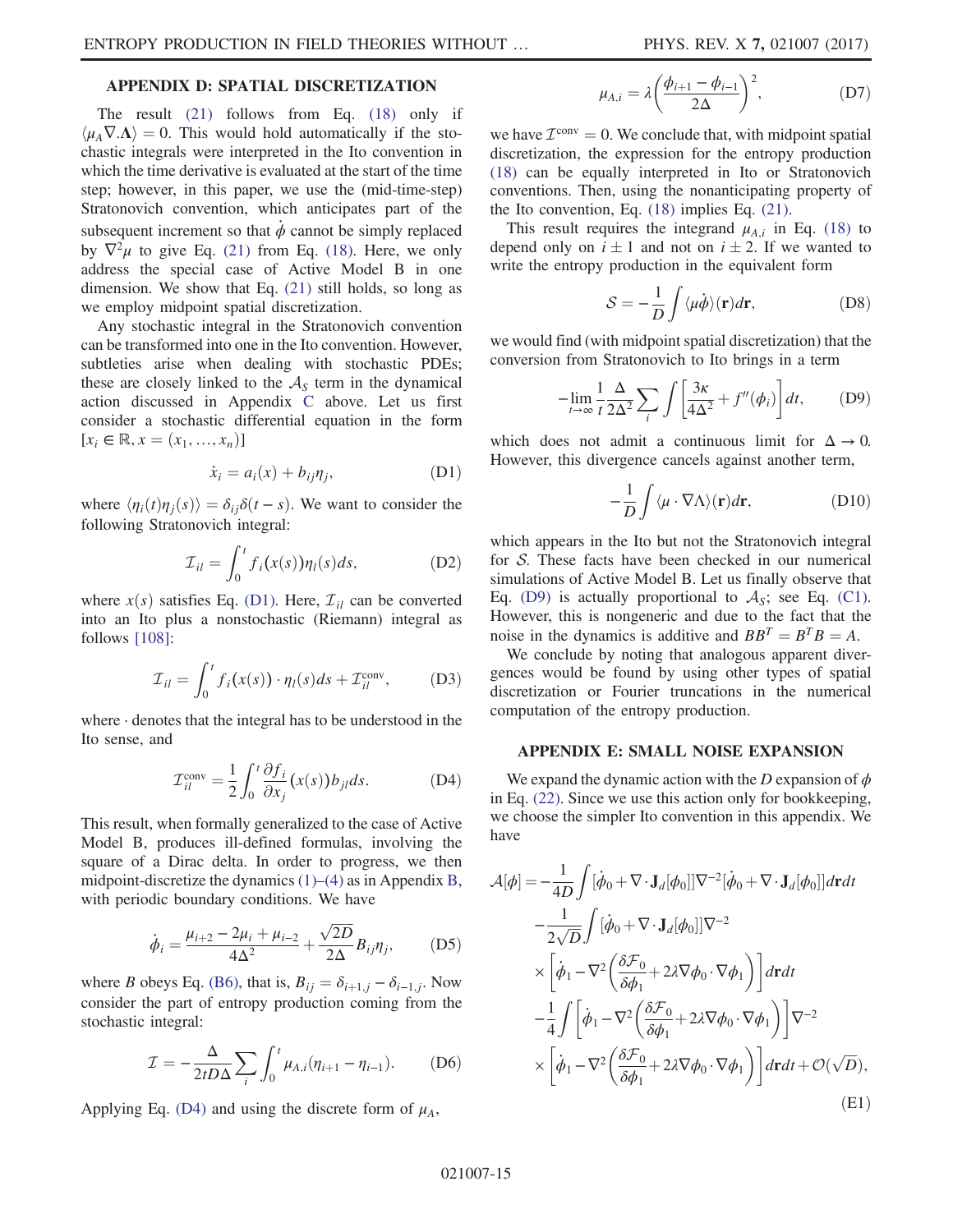## <span id="page-14-0"></span>APPENDIX D: SPATIAL DISCRETIZATION

The result [\(21\)](#page-4-6) follows from Eq. [\(18\)](#page-3-3) only if  $\langle \mu_A \nabla. \Lambda \rangle = 0$ . This would hold automatically if the stochastic integrals were interpreted in the Ito convention in which the time derivative is evaluated at the start of the time step; however, in this paper, we use the (mid-time-step) Stratonovich convention, which anticipates part of the subsequent increment so that  $\phi$  cannot be simply replaced by  $\nabla^2 \mu$  to give Eq. [\(21\)](#page-4-6) from Eq. [\(18\).](#page-3-3) Here, we only address the special case of Active Model B in one dimension. We show that Eq. [\(21\)](#page-4-6) still holds, so long as we employ midpoint spatial discretization.

Any stochastic integral in the Stratonovich convention can be transformed into one in the Ito convention. However, subtleties arise when dealing with stochastic PDEs; these are closely linked to the  $A<sub>S</sub>$  term in the dynamical action discussed in Appendix [C](#page-13-1) above. Let us first consider a stochastic differential equation in the form  $[x_i \in \mathbb{R}, x = (x_1, ..., x_n)]$ 

$$
\dot{x}_i = a_i(x) + b_{ij}\eta_j,\tag{D1}
$$

<span id="page-14-2"></span>where  $\langle \eta_i(t)\eta_j(s)\rangle = \delta_{ij}\delta(t-s)$ . We want to consider the following Stratonovich integral:

$$
\mathcal{I}_{il} = \int_0^t f_i(x(s)) \eta_l(s) ds, \tag{D2}
$$

where  $x(s)$  satisfies Eq. [\(D1\).](#page-14-2) Here,  $\mathcal{I}_{il}$  can be converted into an Ito plus a nonstochastic (Riemann) integral as follows [\[108\]](#page-19-1):

$$
\mathcal{I}_{il} = \int_0^t f_i(x(s)) \cdot \eta_l(s) ds + \mathcal{I}_{il}^{\text{conv}}, \tag{D3}
$$

<span id="page-14-3"></span>where  $\cdot$  denotes that the integral has to be understood in the Ito sense, and

$$
\mathcal{I}_{il}^{\text{conv}} = \frac{1}{2} \int_0^t \frac{\partial f_i}{\partial x_j} (x(s)) b_{jl} ds. \tag{D4}
$$

This result, when formally generalized to the case of Active Model B, produces ill-defined formulas, involving the square of a Dirac delta. In order to progress, we then midpoint-discretize the dynamics [\(1\)](#page-1-0)–[\(4\)](#page-2-6) as in Appendix [B](#page-13-0), with periodic boundary conditions. We have

$$
\dot{\phi}_i = \frac{\mu_{i+2} - 2\mu_i + \mu_{i-2}}{4\Delta^2} + \frac{\sqrt{2D}}{2\Delta} B_{ij} \eta_j,
$$
 (D5)

where B obeys Eq. [\(B6\)](#page-13-5), that is,  $B_{ij} = \delta_{i+1,j} - \delta_{i-1,j}$ . Now consider the part of entropy production coming from the stochastic integral:

$$
\mathcal{I} = -\frac{\Delta}{2tD\Delta} \sum_{i} \int_0^t \mu_{A,i} (\eta_{i+1} - \eta_{i-1}).
$$
 (D6)

Applying Eq. [\(D4\)](#page-14-3) and using the discrete form of  $\mu_A$ ,

$$
\mu_{A,i} = \lambda \left( \frac{\phi_{i+1} - \phi_{i-1}}{2\Delta} \right)^2, \tag{D7}
$$

we have  $\mathcal{I}^{\text{conv}} = 0$ . We conclude that, with midpoint spatial discretization, the expression for the entropy production [\(18\)](#page-3-3) can be equally interpreted in Ito or Stratonovich conventions. Then, using the nonanticipating property of the Ito convention, Eq. [\(18\)](#page-3-3) implies Eq. [\(21\).](#page-4-6)

This result requires the integrand  $\mu_{A,i}$  in Eq. [\(18\)](#page-3-3) to depend only on  $i \pm 1$  and not on  $i \pm 2$ . If we wanted to write the entropy production in the equivalent form

$$
S = -\frac{1}{D} \int \langle \mu \dot{\phi} \rangle(\mathbf{r}) d\mathbf{r},
$$
 (D8)

<span id="page-14-4"></span>we would find (with midpoint spatial discretization) that the conversion from Stratonovich to Ito brings in a term

$$
-\lim_{t \to \infty} \frac{1}{t} \frac{\Delta}{2\Delta^2} \sum_{i} \int \left[ \frac{3\kappa}{4\Delta^2} + f''(\phi_i) \right] dt, \tag{D9}
$$

which does not admit a continuous limit for  $\Delta \rightarrow 0$ . However, this divergence cancels against another term,

$$
-\frac{1}{D}\int \langle \mu \cdot \nabla \Lambda \rangle(\mathbf{r}) d\mathbf{r},\qquad (D10)
$$

which appears in the Ito but not the Stratonovich integral for S. These facts have been checked in our numerical simulations of Active Model B. Let us finally observe that Eq. [\(D9\)](#page-14-4) is actually proportional to  $A<sub>S</sub>$ ; see Eq. [\(C1\)](#page-13-6). However, this is nongeneric and due to the fact that the noise in the dynamics is additive and  $BB^T = B^T B = A$ .

We conclude by noting that analogous apparent divergences would be found by using other types of spatial discretization or Fourier truncations in the numerical computation of the entropy production.

#### <span id="page-14-1"></span>APPENDIX E: SMALL NOISE EXPANSION

<span id="page-14-5"></span>We expand the dynamic action with the D expansion of  $\phi$ in Eq. [\(22\).](#page-4-3) Since we use this action only for bookkeeping, we choose the simpler Ito convention in this appendix. We have

$$
\mathcal{A}[\phi] = -\frac{1}{4D} \int [\dot{\phi}_0 + \nabla \cdot \mathbf{J}_d[\phi_0]] \nabla^{-2} [\dot{\phi}_0 + \nabla \cdot \mathbf{J}_d[\phi_0]] dr dt \n- \frac{1}{2\sqrt{D}} \int [\dot{\phi}_0 + \nabla \cdot \mathbf{J}_d[\phi_0]] \nabla^{-2} \n\times \left[ \dot{\phi}_1 - \nabla^2 \left( \frac{\delta \mathcal{F}_0}{\delta \phi_1} + 2\lambda \nabla \phi_0 \cdot \nabla \phi_1 \right) \right] dr dt \n- \frac{1}{4} \int \left[ \dot{\phi}_1 - \nabla^2 \left( \frac{\delta \mathcal{F}_0}{\delta \phi_1} + 2\lambda \nabla \phi_0 \cdot \nabla \phi_1 \right) \right] \nabla^{-2} \n\times \left[ \dot{\phi}_1 - \nabla^2 \left( \frac{\delta \mathcal{F}_0}{\delta \phi_1} + 2\lambda \nabla \phi_0 \cdot \nabla \phi_1 \right) \right] dr dt + \mathcal{O}(\sqrt{D}),
$$
\n(E1)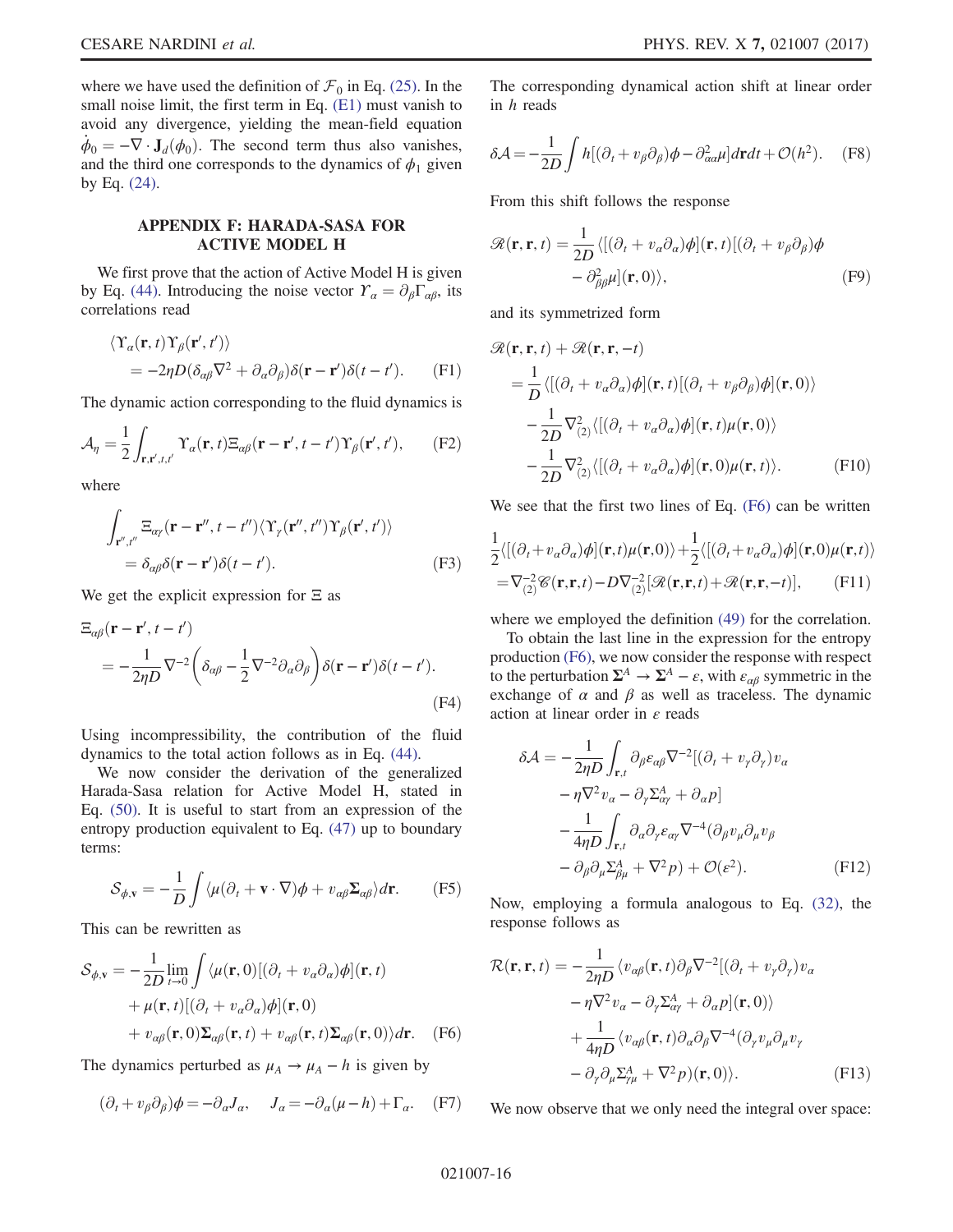where we have used the definition of  $\mathcal{F}_0$  in Eq. [\(25\).](#page-4-8) In the small noise limit, the first term in Eq. [\(E1\)](#page-14-5) must vanish to avoid any divergence, yielding the mean-field equation  $\dot{\phi}_0 = -\nabla \cdot \mathbf{J}_d(\phi_0)$ . The second term thus also vanishes, and the third one corresponds to the dynamics of  $\phi_1$  given by Eq. [\(24\)](#page-4-1).

## <span id="page-15-0"></span>APPENDIX F: HARADA-SASA FOR ACTIVE MODEL H

We first prove that the action of Active Model H is given by Eq. [\(44\)](#page-9-2). Introducing the noise vector  $\Gamma_{\alpha} = \partial_{\beta} \Gamma_{\alpha\beta}$ , its correlations read

$$
\langle \Upsilon_{\alpha}(\mathbf{r}, t) \Upsilon_{\beta}(\mathbf{r}', t') \rangle
$$
  
= -2\eta D(\delta\_{\alpha\beta} \nabla^2 + \partial\_{\alpha} \partial\_{\beta}) \delta(\mathbf{r} - \mathbf{r}') \delta(t - t'). (F1)

The dynamic action corresponding to the fluid dynamics is

$$
\mathcal{A}_{\eta} = \frac{1}{2} \int_{\mathbf{r}, \mathbf{r}', t, t'} \Upsilon_{\alpha}(\mathbf{r}, t) \Xi_{\alpha\beta}(\mathbf{r} - \mathbf{r}', t - t') \Upsilon_{\beta}(\mathbf{r}', t'), \qquad \text{(F2)}
$$

where

$$
\int_{\mathbf{r}'',t''} \Xi_{\alpha\gamma}(\mathbf{r}-\mathbf{r}'',t-t'') \langle \Upsilon_{\gamma}(\mathbf{r}'',t'') \Upsilon_{\beta}(\mathbf{r}',t') \rangle \n= \delta_{\alpha\beta} \delta(\mathbf{r}-\mathbf{r}') \delta(t-t').
$$
\n(F3)

We get the explicit expression for  $\Xi$  as

$$
\Xi_{\alpha\beta}(\mathbf{r} - \mathbf{r}', t - t') = -\frac{1}{2\eta D} \nabla^{-2} \left( \delta_{\alpha\beta} - \frac{1}{2} \nabla^{-2} \partial_{\alpha} \partial_{\beta} \right) \delta(\mathbf{r} - \mathbf{r}') \delta(t - t').
$$
\n(F4)

Using incompressibility, the contribution of the fluid dynamics to the total action follows as in Eq. [\(44\)](#page-9-2).

We now consider the derivation of the generalized Harada-Sasa relation for Active Model H, stated in Eq. [\(50\)](#page-9-0). It is useful to start from an expression of the entropy production equivalent to Eq. [\(47\)](#page-9-3) up to boundary terms:

$$
S_{\phi,\mathbf{v}} = -\frac{1}{D} \int \langle \mu(\partial_t + \mathbf{v} \cdot \nabla) \phi + v_{\alpha\beta} \Sigma_{\alpha\beta} \rangle d\mathbf{r}.
$$
 (F5)

<span id="page-15-1"></span>This can be rewritten as

$$
\mathcal{S}_{\phi,\mathbf{v}} = -\frac{1}{2D} \lim_{t \to 0} \int \langle \mu(\mathbf{r}, 0) [(\partial_t + v_a \partial_\alpha) \phi](\mathbf{r}, t) \n+ \mu(\mathbf{r}, t) [(\partial_t + v_a \partial_\alpha) \phi](\mathbf{r}, 0) \n+ v_{\alpha\beta}(\mathbf{r}, 0) \Sigma_{\alpha\beta}(\mathbf{r}, t) + v_{\alpha\beta}(\mathbf{r}, t) \Sigma_{\alpha\beta}(\mathbf{r}, 0) \rangle d\mathbf{r}.
$$
 (F6)

The dynamics perturbed as  $\mu_A \rightarrow \mu_A - h$  is given by

$$
(\partial_t + v_\beta \partial_\beta)\phi = -\partial_\alpha J_\alpha, \quad J_\alpha = -\partial_\alpha(\mu - h) + \Gamma_\alpha. \quad \text{(F7)}
$$

The corresponding dynamical action shift at linear order in h reads

$$
\delta \mathcal{A} = -\frac{1}{2D} \int h [(\partial_t + v_\beta \partial_\beta) \phi - \partial_{\alpha \alpha}^2 \mu] d\mathbf{r} dt + \mathcal{O}(h^2). \quad (F8)
$$

From this shift follows the response

$$
\mathcal{R}(\mathbf{r}, \mathbf{r}, t) = \frac{1}{2D} \langle [(\partial_t + v_a \partial_\alpha) \phi](\mathbf{r}, t) [(\partial_t + v_\beta \partial_\beta) \phi - \partial_{\beta\beta}^2 \mu](\mathbf{r}, 0) \rangle, \tag{F9}
$$

<span id="page-15-3"></span>and its symmetrized form

$$
\mathcal{R}(\mathbf{r}, \mathbf{r}, t) + \mathcal{R}(\mathbf{r}, \mathbf{r}, -t)
$$
\n
$$
= \frac{1}{D} \langle [(\partial_t + v_a \partial_\alpha) \phi](\mathbf{r}, t) [(\partial_t + v_\beta \partial_\beta) \phi](\mathbf{r}, 0) \rangle
$$
\n
$$
- \frac{1}{2D} \nabla_{(2)}^2 \langle [(\partial_t + v_a \partial_\alpha) \phi](\mathbf{r}, t) \mu(\mathbf{r}, 0) \rangle
$$
\n
$$
- \frac{1}{2D} \nabla_{(2)}^2 \langle [(\partial_t + v_a \partial_\alpha) \phi](\mathbf{r}, 0) \mu(\mathbf{r}, t) \rangle. \tag{F10}
$$

We see that the first two lines of Eq. [\(F6\)](#page-15-1) can be written

$$
\frac{1}{2}\langle [(\partial_t + v_a \partial_\alpha)\phi](\mathbf{r},t)\mu(\mathbf{r},0)\rangle + \frac{1}{2}\langle [(\partial_t + v_a \partial_\alpha)\phi](\mathbf{r},0)\mu(\mathbf{r},t)\rangle \n= \nabla_{(2)}^{-2}\mathscr{C}(\mathbf{r},\mathbf{r},t) - D\nabla_{(2)}^{-2}[\mathscr{R}(\mathbf{r},\mathbf{r},t) + \mathscr{R}(\mathbf{r},\mathbf{r},-t)], \qquad \text{(F11)}
$$

where we employed the definition [\(49\)](#page-9-4) for the correlation.

To obtain the last line in the expression for the entropy production [\(F6\)](#page-15-1), we now consider the response with respect to the perturbation  $\Sigma^A \to \Sigma^A - \varepsilon$ , with  $\varepsilon_{\alpha\beta}$  symmetric in the exchange of  $\alpha$  and  $\beta$  as well as traceless. The dynamic action at linear order in  $\varepsilon$  reads

$$
\delta \mathcal{A} = -\frac{1}{2\eta D} \int_{\mathbf{r},t} \partial_{\beta} \varepsilon_{\alpha\beta} \nabla^{-2} [(\partial_t + v_\gamma \partial_\gamma) v_\alpha \n- \eta \nabla^2 v_\alpha - \partial_\gamma \Sigma_{\alpha\gamma}^A + \partial_\alpha p] \n- \frac{1}{4\eta D} \int_{\mathbf{r},t} \partial_\alpha \partial_\gamma \varepsilon_{\alpha\gamma} \nabla^{-4} (\partial_\beta v_\mu \partial_\mu v_\beta \n- \partial_\beta \partial_\mu \Sigma_{\beta\mu}^A + \nabla^2 p) + \mathcal{O}(\varepsilon^2).
$$
\n(F12)

<span id="page-15-2"></span>Now, employing a formula analogous to Eq. [\(32\)](#page-6-2), the response follows as

$$
\mathcal{R}(\mathbf{r}, \mathbf{r}, t) = -\frac{1}{2\eta D} \langle v_{\alpha\beta}(\mathbf{r}, t) \partial_{\beta} \nabla^{-2} [(\partial_t + v_{\gamma} \partial_{\gamma}) v_{\alpha} \n- \eta \nabla^2 v_{\alpha} - \partial_{\gamma} \Sigma_{\alpha\gamma}^A + \partial_{\alpha} p] (\mathbf{r}, 0) \rangle \n+ \frac{1}{4\eta D} \langle v_{\alpha\beta}(\mathbf{r}, t) \partial_{\alpha} \partial_{\beta} \nabla^{-4} (\partial_{\gamma} v_{\mu} \partial_{\mu} v_{\gamma} \n- \partial_{\gamma} \partial_{\mu} \Sigma_{\gamma\mu}^A + \nabla^2 p) (\mathbf{r}, 0) \rangle.
$$
\n(F13)

We now observe that we only need the integral over space: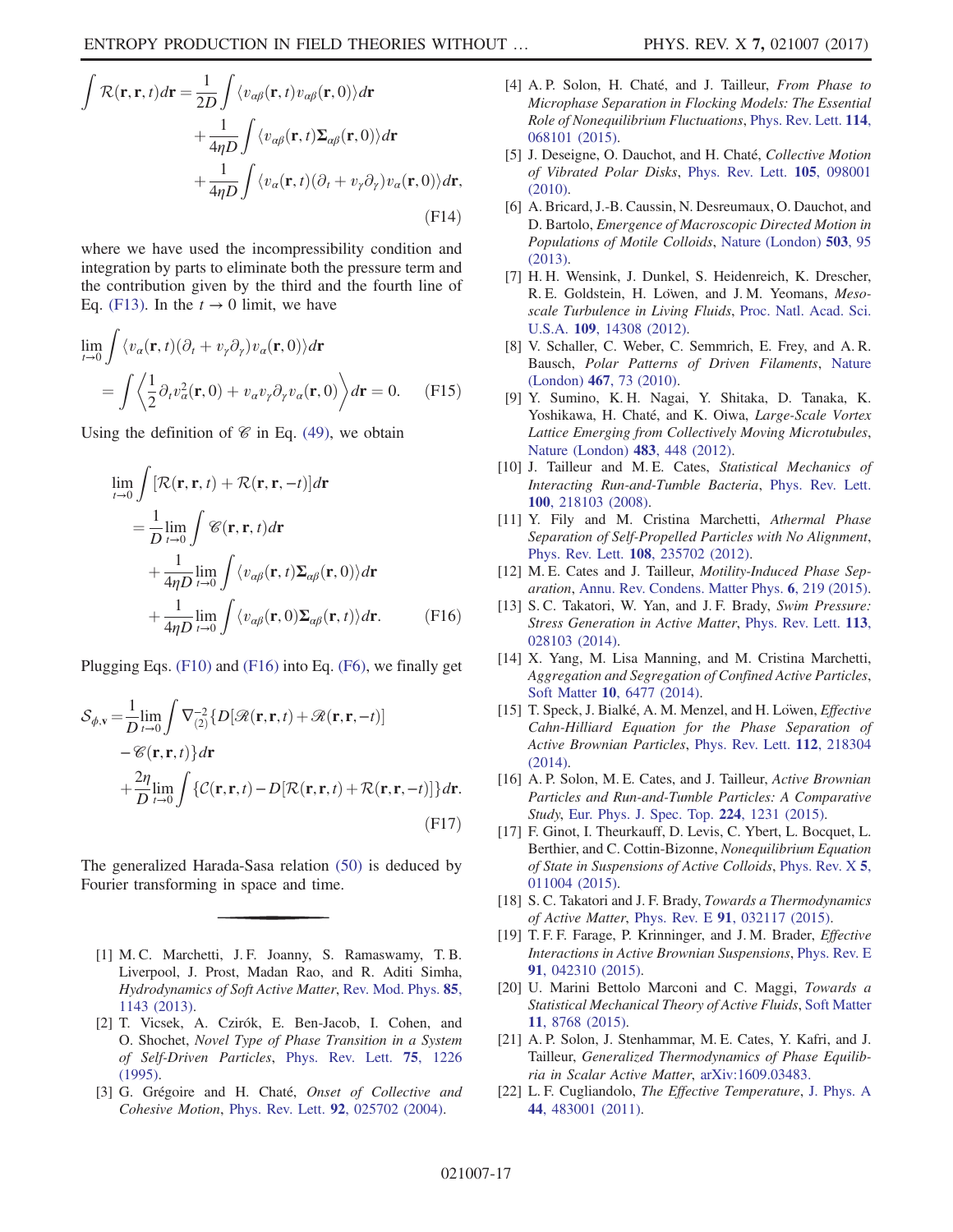$$
\int \mathcal{R}(\mathbf{r}, \mathbf{r}, t) d\mathbf{r} = \frac{1}{2D} \int \langle v_{\alpha\beta}(\mathbf{r}, t) v_{\alpha\beta}(\mathbf{r}, 0) \rangle d\mathbf{r} \n+ \frac{1}{4\eta D} \int \langle v_{\alpha\beta}(\mathbf{r}, t) \Sigma_{\alpha\beta}(\mathbf{r}, 0) \rangle d\mathbf{r} \n+ \frac{1}{4\eta D} \int \langle v_{\alpha}(\mathbf{r}, t) (\partial_t + v_{\gamma} \partial_{\gamma}) v_{\alpha}(\mathbf{r}, 0) \rangle d\mathbf{r},
$$
\n(F14)

where we have used the incompressibility condition and integration by parts to eliminate both the pressure term and the contribution given by the third and the fourth line of Eq. [\(F13\).](#page-15-2) In the  $t \to 0$  limit, we have

$$
\lim_{t \to 0} \int \langle v_{\alpha}(\mathbf{r}, t) (\partial_t + v_{\gamma} \partial_{\gamma}) v_{\alpha}(\mathbf{r}, 0) \rangle d\mathbf{r}
$$
\n
$$
= \int \langle \frac{1}{2} \partial_t v_{\alpha}^2(\mathbf{r}, 0) + v_{\alpha} v_{\gamma} \partial_{\gamma} v_{\alpha}(\mathbf{r}, 0) \rangle d\mathbf{r} = 0. \quad \text{(F15)}
$$

<span id="page-16-9"></span>Using the definition of  $\mathcal C$  in Eq. [\(49\),](#page-9-4) we obtain

$$
\lim_{t \to 0} \int [\mathcal{R}(\mathbf{r}, \mathbf{r}, t) + \mathcal{R}(\mathbf{r}, \mathbf{r}, -t)] d\mathbf{r}
$$
\n
$$
= \frac{1}{D} \lim_{t \to 0} \int \mathcal{C}(\mathbf{r}, \mathbf{r}, t) d\mathbf{r}
$$
\n
$$
+ \frac{1}{4\eta D} \lim_{t \to 0} \int \langle v_{\alpha\beta}(\mathbf{r}, t) \Sigma_{\alpha\beta}(\mathbf{r}, 0) \rangle d\mathbf{r}
$$
\n
$$
+ \frac{1}{4\eta D} \lim_{t \to 0} \int \langle v_{\alpha\beta}(\mathbf{r}, 0) \Sigma_{\alpha\beta}(\mathbf{r}, t) \rangle d\mathbf{r}.
$$
\n(F16)

Plugging Eqs. [\(F10\)](#page-15-3) and [\(F16\)](#page-16-9) into Eq. [\(F6\)](#page-15-1), we finally get

$$
S_{\phi,\mathbf{v}} = \frac{1}{D} \lim_{t \to 0} \int \nabla_{(2)}^{-2} \{ D[\mathcal{R}(\mathbf{r}, \mathbf{r}, t) + \mathcal{R}(\mathbf{r}, \mathbf{r}, -t)] - \mathcal{C}(\mathbf{r}, \mathbf{r}, t) \} d\mathbf{r} + \frac{2\eta}{D} \lim_{t \to 0} \int \{ \mathcal{C}(\mathbf{r}, \mathbf{r}, t) - D[\mathcal{R}(\mathbf{r}, \mathbf{r}, t) + \mathcal{R}(\mathbf{r}, \mathbf{r}, -t)] \} d\mathbf{r}.
$$
\n(F17)

The generalized Harada-Sasa relation [\(50\)](#page-9-0) is deduced by Fourier transforming in space and time.

- <span id="page-16-0"></span>[1] M. C. Marchetti, J. F. Joanny, S. Ramaswamy, T. B. Liverpool, J. Prost, Madan Rao, and R. Aditi Simha, Hydrodynamics of Soft Active Matter, [Rev. Mod. Phys.](https://doi.org/10.1103/RevModPhys.85.1143) 85, [1143 \(2013\).](https://doi.org/10.1103/RevModPhys.85.1143)
- <span id="page-16-1"></span>[2] T. Vicsek, A. Czirók, E. Ben-Jacob, I. Cohen, and O. Shochet, Novel Type of Phase Transition in a System of Self-Driven Particles, [Phys. Rev. Lett.](https://doi.org/10.1103/PhysRevLett.75.1226) 75, 1226 [\(1995\).](https://doi.org/10.1103/PhysRevLett.75.1226)
- [3] G. Grégoire and H. Chaté, Onset of Collective and Cohesive Motion, Phys. Rev. Lett. 92[, 025702 \(2004\).](https://doi.org/10.1103/PhysRevLett.92.025702)
- [4] A. P. Solon, H. Chaté, and J. Tailleur, From Phase to Microphase Separation in Flocking Models: The Essential Role of Nonequilibrium Fluctuations, [Phys. Rev. Lett.](https://doi.org/10.1103/PhysRevLett.114.068101) 114, [068101 \(2015\).](https://doi.org/10.1103/PhysRevLett.114.068101)
- [5] J. Deseigne, O. Dauchot, and H. Chaté, Collective Motion of Vibrated Polar Disks, [Phys. Rev. Lett.](https://doi.org/10.1103/PhysRevLett.105.098001) 105, 098001 [\(2010\).](https://doi.org/10.1103/PhysRevLett.105.098001)
- [6] A. Bricard, J.-B. Caussin, N. Desreumaux, O. Dauchot, and D. Bartolo, Emergence of Macroscopic Directed Motion in Populations of Motile Colloids, [Nature \(London\)](https://doi.org/10.1038/nature12673) 503, 95 [\(2013\).](https://doi.org/10.1038/nature12673)
- <span id="page-16-2"></span>[7] H. H. Wensink, J. Dunkel, S. Heidenreich, K. Drescher, R. E. Goldstein, H. Lowen, and J. M. Yeomans, Mesoscale Turbulence in Living Fluids, [Proc. Natl. Acad. Sci.](https://doi.org/10.1073/pnas.1202032109) U.S.A. 109[, 14308 \(2012\)](https://doi.org/10.1073/pnas.1202032109).
- <span id="page-16-3"></span>[8] V. Schaller, C. Weber, C. Semmrich, E. Frey, and A. R. Bausch, Polar Patterns of Driven Filaments, [Nature](https://doi.org/10.1038/nature09312) (London) 467[, 73 \(2010\)](https://doi.org/10.1038/nature09312).
- [9] Y. Sumino, K. H. Nagai, Y. Shitaka, D. Tanaka, K. Yoshikawa, H. Chaté, and K. Oiwa, Large-Scale Vortex Lattice Emerging from Collectively Moving Microtubules, [Nature \(London\)](https://doi.org/10.1038/nature10874) 483, 448 (2012).
- <span id="page-16-4"></span>[10] J. Tailleur and M.E. Cates, Statistical Mechanics of Interacting Run-and-Tumble Bacteria, [Phys. Rev. Lett.](https://doi.org/10.1103/PhysRevLett.100.218103) 100[, 218103 \(2008\)](https://doi.org/10.1103/PhysRevLett.100.218103).
- [11] Y. Fily and M. Cristina Marchetti, Athermal Phase Separation of Self-Propelled Particles with No Alignment, Phys. Rev. Lett. 108[, 235702 \(2012\).](https://doi.org/10.1103/PhysRevLett.108.235702)
- <span id="page-16-7"></span>[12] M. E. Cates and J. Tailleur, Motility-Induced Phase Separation, [Annu. Rev. Condens. Matter Phys.](https://doi.org/10.1146/annurev-conmatphys-031214-014710) 6, 219 (2015).
- [13] S.C. Takatori, W. Yan, and J.F. Brady, Swim Pressure: Stress Generation in Active Matter, [Phys. Rev. Lett.](https://doi.org/10.1103/PhysRevLett.113.028103) 113, [028103 \(2014\).](https://doi.org/10.1103/PhysRevLett.113.028103)
- [14] X. Yang, M. Lisa Manning, and M. Cristina Marchetti, Aggregation and Segregation of Confined Active Particles, Soft Matter 10[, 6477 \(2014\)](https://doi.org/10.1039/C4SM00927D).
- [15] T. Speck, J. Bialké, A. M. Menzel, and H. Lowen, *Effective* Cahn-Hilliard Equation for the Phase Separation of Active Brownian Particles, [Phys. Rev. Lett.](https://doi.org/10.1103/PhysRevLett.112.218304) 112, 218304 [\(2014\).](https://doi.org/10.1103/PhysRevLett.112.218304)
- <span id="page-16-6"></span>[16] A. P. Solon, M. E. Cates, and J. Tailleur, Active Brownian Particles and Run-and-Tumble Particles: A Comparative Study, [Eur. Phys. J. Spec. Top.](https://doi.org/10.1140/epjst/e2015-02457-0) 224, 1231 (2015).
- [17] F. Ginot, I. Theurkauff, D. Levis, C. Ybert, L. Bocquet, L. Berthier, and C. Cottin-Bizonne, Nonequilibrium Equation of State in Suspensions of Active Colloids, [Phys. Rev. X](https://doi.org/10.1103/PhysRevX.5.011004) 5, [011004 \(2015\).](https://doi.org/10.1103/PhysRevX.5.011004)
- [18] S. C. Takatori and J. F. Brady, Towards a Thermodynamics of Active Matter, Phys. Rev. E 91[, 032117 \(2015\)](https://doi.org/10.1103/PhysRevE.91.032117).
- [19] T. F. F. Farage, P. Krinninger, and J. M. Brader, *Effective* Interactions in Active Brownian Suspensions, [Phys. Rev. E](https://doi.org/10.1103/PhysRevE.91.042310) 91[, 042310 \(2015\).](https://doi.org/10.1103/PhysRevE.91.042310)
- [20] U. Marini Bettolo Marconi and C. Maggi, Towards a Statistical Mechanical Theory of Active Fluids, [Soft Matter](https://doi.org/10.1039/C5SM01718A) 11[, 8768 \(2015\)](https://doi.org/10.1039/C5SM01718A).
- <span id="page-16-8"></span>[21] A. P. Solon, J. Stenhammar, M. E. Cates, Y. Kafri, and J. Tailleur, Generalized Thermodynamics of Phase Equilibria in Scalar Active Matter, [arXiv:1609.03483.](http://arXiv.org/abs/1609.03483)
- <span id="page-16-5"></span>[22] L. F. Cugliandolo, *The Effective Temperature*, [J. Phys. A](https://doi.org/10.1088/1751-8113/44/48/483001) 44[, 483001 \(2011\).](https://doi.org/10.1088/1751-8113/44/48/483001)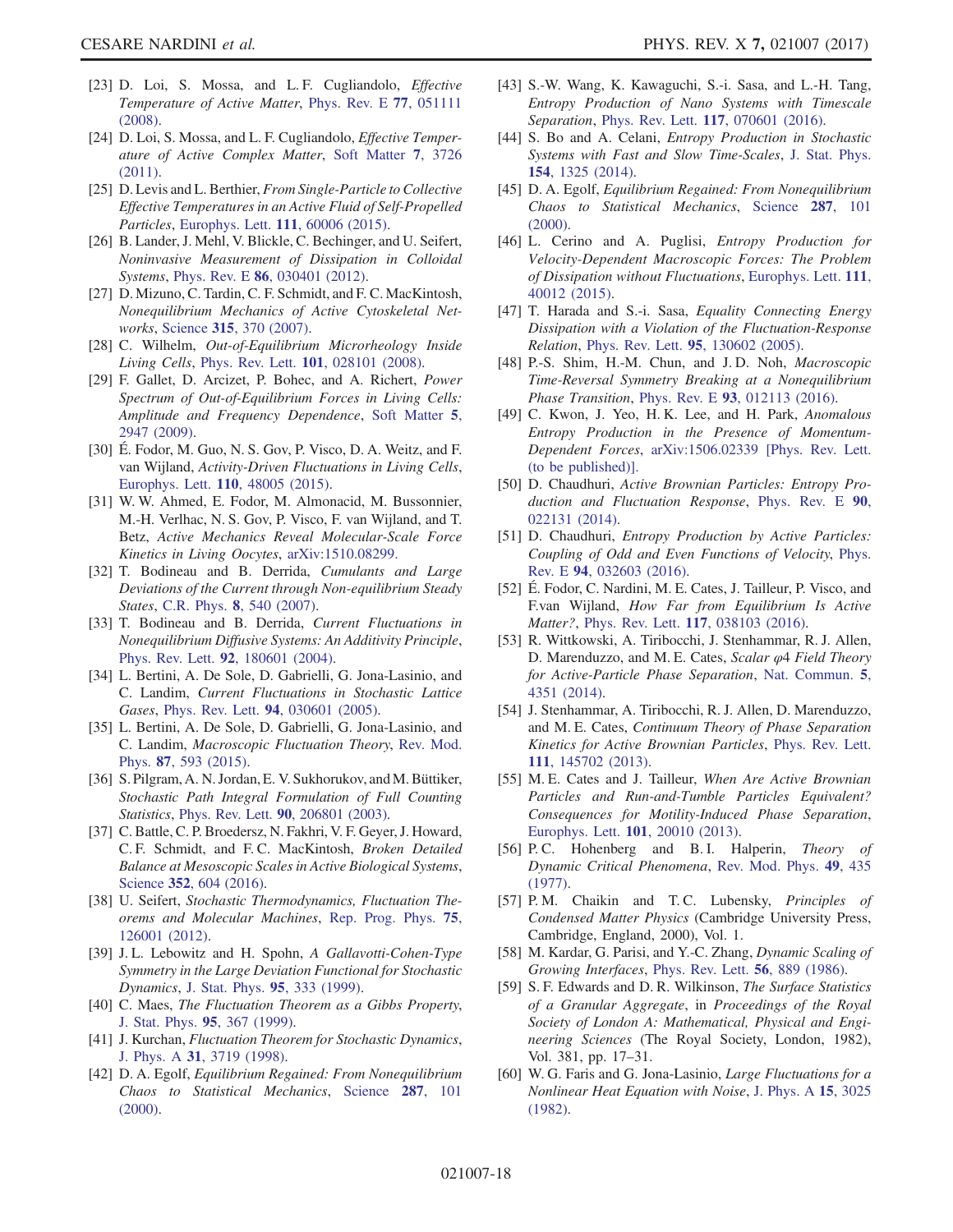- [23] D. Loi, S. Mossa, and L.F. Cugliandolo, *Effective* Temperature of Active Matter, [Phys. Rev. E](https://doi.org/10.1103/PhysRevE.77.051111) 77, 051111 [\(2008\).](https://doi.org/10.1103/PhysRevE.77.051111)
- [24] D. Loi, S. Mossa, and L. F. Cugliandolo, *Effective Temper*ature of Active Complex Matter, [Soft Matter](https://doi.org/10.1039/c0sm01484b) 7, 3726 [\(2011\).](https://doi.org/10.1039/c0sm01484b)
- <span id="page-17-13"></span>[25] D. Levis and L. Berthier, From Single-Particle to Collective Effective Temperatures in an Active Fluid of Self-Propelled Particles, [Europhys. Lett.](https://doi.org/10.1209/0295-5075/111/60006) 111, 60006 (2015).
- [26] B. Lander, J. Mehl, V. Blickle, C. Bechinger, and U. Seifert, Noninvasive Measurement of Dissipation in Colloidal Systems, Phys. Rev. E 86[, 030401 \(2012\).](https://doi.org/10.1103/PhysRevE.86.030401)
- <span id="page-17-0"></span>[27] D. Mizuno, C. Tardin, C. F. Schmidt, and F. C. MacKintosh, Nonequilibrium Mechanics of Active Cytoskeletal Networks, Science 315[, 370 \(2007\)](https://doi.org/10.1126/science.1134404).
- [28] C. Wilhelm, *Out-of-Equilibrium Microrheology Inside* Living Cells, Phys. Rev. Lett. 101[, 028101 \(2008\).](https://doi.org/10.1103/PhysRevLett.101.028101)
- [29] F. Gallet, D. Arcizet, P. Bohec, and A. Richert, Power Spectrum of Out-of-Equilibrium Forces in Living Cells: Amplitude and Frequency Dependence, [Soft Matter](https://doi.org/10.1039/b901311c) 5, [2947 \(2009\).](https://doi.org/10.1039/b901311c)
- [30] É. Fodor, M. Guo, N. S. Gov, P. Visco, D. A. Weitz, and F. van Wijland, Activity-Driven Fluctuations in Living Cells, [Europhys. Lett.](https://doi.org/10.1209/0295-5075/110/48005) 110, 48005 (2015).
- [31] W. W. Ahmed, E. Fodor, M. Almonacid, M. Bussonnier, M.-H. Verlhac, N. S. Gov, P. Visco, F. van Wijland, and T. Betz, Active Mechanics Reveal Molecular-Scale Force Kinetics in Living Oocytes, [arXiv:1510.08299.](http://arXiv.org/abs/1510.08299)
- <span id="page-17-1"></span>[32] T. Bodineau and B. Derrida, Cumulants and Large Deviations of the Current through Non-equilibrium Steady States, C.R. Phys. 8[, 540 \(2007\).](https://doi.org/10.1016/j.crhy.2007.04.014)
- [33] T. Bodineau and B. Derrida, Current Fluctuations in Nonequilibrium Diffusive Systems: An Additivity Principle, Phys. Rev. Lett. 92[, 180601 \(2004\).](https://doi.org/10.1103/PhysRevLett.92.180601)
- [34] L. Bertini, A. De Sole, D. Gabrielli, G. Jona-Lasinio, and C. Landim, Current Fluctuations in Stochastic Lattice Gases, Phys. Rev. Lett. 94[, 030601 \(2005\).](https://doi.org/10.1103/PhysRevLett.94.030601)
- <span id="page-17-10"></span>[35] L. Bertini, A. De Sole, D. Gabrielli, G. Jona-Lasinio, and C. Landim, Macroscopic Fluctuation Theory, [Rev. Mod.](https://doi.org/10.1103/RevModPhys.87.593) Phys. 87[, 593 \(2015\).](https://doi.org/10.1103/RevModPhys.87.593)
- [36] S. Pilgram, A. N. Jordan, E. V. Sukhorukov, and M. Büttiker, Stochastic Path Integral Formulation of Full Counting Statistics, Phys. Rev. Lett. 90[, 206801 \(2003\).](https://doi.org/10.1103/PhysRevLett.90.206801)
- [37] C. Battle, C. P. Broedersz, N. Fakhri, V. F. Geyer, J. Howard, C. F. Schmidt, and F. C. MacKintosh, Broken Detailed Balance at Mesoscopic Scales in Active Biological Systems, Science 352[, 604 \(2016\)](https://doi.org/10.1126/science.aac8167).
- <span id="page-17-2"></span>[38] U. Seifert, Stochastic Thermodynamics, Fluctuation Theorems and Molecular Machines, [Rep. Prog. Phys.](https://doi.org/10.1088/0034-4885/75/12/126001) 75, [126001 \(2012\).](https://doi.org/10.1088/0034-4885/75/12/126001)
- <span id="page-17-12"></span>[39] J.L. Lebowitz and H. Spohn, A Gallavotti-Cohen-Type Symmetry in the Large Deviation Functional for Stochastic Dynamics, [J. Stat. Phys.](https://doi.org/10.1023/A:1004589714161) 95, 333 (1999).
- [40] C. Maes, The Fluctuation Theorem as a Gibbs Property, [J. Stat. Phys.](https://doi.org/10.1023/A:1004541830999) 95, 367 (1999).
- <span id="page-17-3"></span>[41] J. Kurchan, Fluctuation Theorem for Stochastic Dynamics, J. Phys. A 31[, 3719 \(1998\).](https://doi.org/10.1088/0305-4470/31/16/003)
- [42] D. A. Egolf, Equilibrium Regained: From Nonequilibrium Chaos to Statistical Mechanics, [Science](https://doi.org/10.1126/science.287.5450.101) 287, 101 [\(2000\).](https://doi.org/10.1126/science.287.5450.101)
- <span id="page-17-14"></span>[43] S.-W. Wang, K. Kawaguchi, S.-i. Sasa, and L.-H. Tang, Entropy Production of Nano Systems with Timescale Separation, Phys. Rev. Lett. 117[, 070601 \(2016\).](https://doi.org/10.1103/PhysRevLett.117.070601)
- <span id="page-17-17"></span>[44] S. Bo and A. Celani, Entropy Production in Stochastic Systems with Fast and Slow Time-Scales, [J. Stat. Phys.](https://doi.org/10.1007/s10955-014-0922-1) 154[, 1325 \(2014\).](https://doi.org/10.1007/s10955-014-0922-1)
- [45] D. A. Egolf, Equilibrium Regained: From Nonequilibrium Chaos to Statistical Mechanics, [Science](https://doi.org/10.1126/science.287.5450.101) 287, 101 [\(2000\).](https://doi.org/10.1126/science.287.5450.101)
- [46] L. Cerino and A. Puglisi, *Entropy Production for* Velocity-Dependent Macroscopic Forces: The Problem of Dissipation without Fluctuations, [Europhys. Lett.](https://doi.org/10.1209/0295-5075/111/40012) 111, [40012 \(2015\).](https://doi.org/10.1209/0295-5075/111/40012)
- <span id="page-17-11"></span>[47] T. Harada and S.-i. Sasa, *Equality Connecting Energy* Dissipation with a Violation of the Fluctuation-Response Relation, Phys. Rev. Lett. 95[, 130602 \(2005\)](https://doi.org/10.1103/PhysRevLett.95.130602).
- [48] P.-S. Shim, H.-M. Chun, and J.D. Noh, Macroscopic Time-Reversal Symmetry Breaking at a Nonequilibrium Phase Transition, Phys. Rev. E 93[, 012113 \(2016\).](https://doi.org/10.1103/PhysRevE.93.012113)
- [49] C. Kwon, J. Yeo, H. K. Lee, and H. Park, Anomalous Entropy Production in the Presence of Momentum-Dependent Forces, [arXiv:1506.02339 \[Phys. Rev. Lett.](http://arXiv.org/abs/1506.02339) [\(to be published\)\].](http://arXiv.org/abs/1506.02339)
- [50] D. Chaudhuri, Active Brownian Particles: Entropy Pro-duction and Fluctuation Response, [Phys. Rev. E](https://doi.org/10.1103/PhysRevE.90.022131) 90, [022131 \(2014\).](https://doi.org/10.1103/PhysRevE.90.022131)
- [51] D. Chaudhuri, Entropy Production by Active Particles: Coupling of Odd and Even Functions of Velocity, [Phys.](https://doi.org/10.1103/PhysRevE.94.032603) Rev. E 94[, 032603 \(2016\).](https://doi.org/10.1103/PhysRevE.94.032603)
- <span id="page-17-15"></span>[52] É. Fodor, C. Nardini, M. E. Cates, J. Tailleur, P. Visco, and F.van Wijland, How Far from Equilibrium Is Active Matter?, Phys. Rev. Lett. 117[, 038103 \(2016\).](https://doi.org/10.1103/PhysRevLett.117.038103)
- <span id="page-17-4"></span>[53] R. Wittkowski, A. Tiribocchi, J. Stenhammar, R. J. Allen, D. Marenduzzo, and M. E. Cates, Scalar φ4 Field Theory for Active-Particle Phase Separation, [Nat. Commun.](https://doi.org/10.1038/ncomms5351) 5, [4351 \(2014\).](https://doi.org/10.1038/ncomms5351)
- <span id="page-17-5"></span>[54] J. Stenhammar, A. Tiribocchi, R. J. Allen, D. Marenduzzo, and M. E. Cates, Continuum Theory of Phase Separation Kinetics for Active Brownian Particles, [Phys. Rev. Lett.](https://doi.org/10.1103/PhysRevLett.111.145702) 111[, 145702 \(2013\)](https://doi.org/10.1103/PhysRevLett.111.145702).
- [55] M. E. Cates and J. Tailleur, When Are Active Brownian Particles and Run-and-Tumble Particles Equivalent? Consequences for Motility-Induced Phase Separation, [Europhys. Lett.](https://doi.org/10.1209/0295-5075/101/20010) 101, 20010 (2013).
- <span id="page-17-6"></span>[56] P.C. Hohenberg and B.I. Halperin, Theory of Dynamic Critical Phenomena, [Rev. Mod. Phys.](https://doi.org/10.1103/RevModPhys.49.435) 49, 435 [\(1977\).](https://doi.org/10.1103/RevModPhys.49.435)
- <span id="page-17-16"></span>[57] P. M. Chaikin and T. C. Lubensky, *Principles of* Condensed Matter Physics (Cambridge University Press, Cambridge, England, 2000), Vol. 1.
- <span id="page-17-8"></span><span id="page-17-7"></span>[58] M. Kardar, G. Parisi, and Y.-C. Zhang, Dynamic Scaling of Growing Interfaces, [Phys. Rev. Lett.](https://doi.org/10.1103/PhysRevLett.56.889) 56, 889 (1986).
- [59] S. F. Edwards and D. R. Wilkinson, The Surface Statistics of a Granular Aggregate, in Proceedings of the Royal Society of London A: Mathematical, Physical and Engineering Sciences (The Royal Society, London, 1982), Vol. 381, pp. 17–31.
- <span id="page-17-9"></span>[60] W. G. Faris and G. Jona-Lasinio, Large Fluctuations for a Nonlinear Heat Equation with Noise, [J. Phys. A](https://doi.org/10.1088/0305-4470/15/10/011) 15, 3025 [\(1982\).](https://doi.org/10.1088/0305-4470/15/10/011)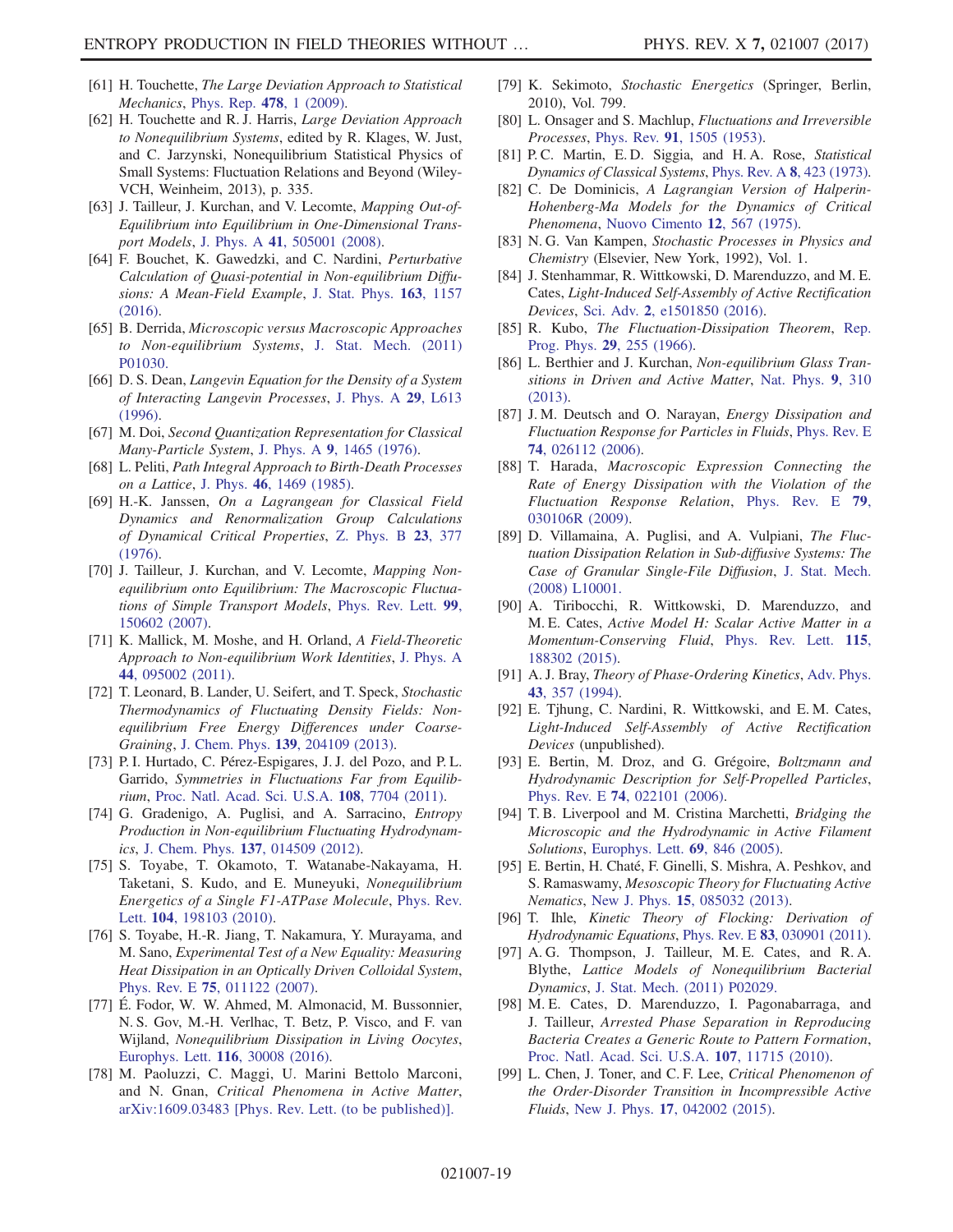- [61] H. Touchette, The Large Deviation Approach to Statistical Mechanics, [Phys. Rep.](https://doi.org/10.1016/j.physrep.2009.05.002) 478, 1 (2009).
- [62] H. Touchette and R. J. Harris, Large Deviation Approach to Nonequilibrium Systems, edited by R. Klages, W. Just, and C. Jarzynski, Nonequilibrium Statistical Physics of Small Systems: Fluctuation Relations and Beyond (Wiley-VCH, Weinheim, 2013), p. 335.
- [63] J. Tailleur, J. Kurchan, and V. Lecomte, Mapping Out-of-Equilibrium into Equilibrium in One-Dimensional Trans-port Models, J. Phys. A 41[, 505001 \(2008\).](https://doi.org/10.1088/1751-8113/41/50/505001)
- <span id="page-18-1"></span>[64] F. Bouchet, K. Gawedzki, and C. Nardini, Perturbative Calculation of Quasi-potential in Non-equilibrium Diffusions: A Mean-Field Example, [J. Stat. Phys.](https://doi.org/10.1007/s10955-016-1503-2) 163, 1157 [\(2016\).](https://doi.org/10.1007/s10955-016-1503-2)
- [65] B. Derrida, Microscopic versus Macroscopic Approaches to Non-equilibrium Systems, [J. Stat. Mech. \(2011\)](https://doi.org/10.1088/1742-5468/2011/01/P01030) [P01030.](https://doi.org/10.1088/1742-5468/2011/01/P01030)
- <span id="page-18-0"></span>[66] D. S. Dean, Langevin Equation for the Density of a System of Interacting Langevin Processes, [J. Phys. A](https://doi.org/10.1088/0305-4470/29/24/001) 29, L613 [\(1996\).](https://doi.org/10.1088/0305-4470/29/24/001)
- [67] M. Doi, Second Quantization Representation for Classical Many-Particle System, J. Phys. A 9[, 1465 \(1976\)](https://doi.org/10.1088/0305-4470/9/9/008).
- [68] L. Peliti, Path Integral Approach to Birth-Death Processes on a Lattice, J. Phys. 46[, 1469 \(1985\)](https://doi.org/10.1051/jphys:019850046090146900).
- <span id="page-18-5"></span>[69] H.-K. Janssen, On a Lagrangean for Classical Field Dynamics and Renormalization Group Calculations of Dynamical Critical Properties, [Z. Phys. B](https://doi.org/10.1007/BF01316547) 23, 377 [\(1976\).](https://doi.org/10.1007/BF01316547)
- [70] J. Tailleur, J. Kurchan, and V. Lecomte, *Mapping Non*equilibrium onto Equilibrium: The Macroscopic Fluctuations of Simple Transport Models, [Phys. Rev. Lett.](https://doi.org/10.1103/PhysRevLett.99.150602) 99, [150602 \(2007\).](https://doi.org/10.1103/PhysRevLett.99.150602)
- <span id="page-18-2"></span>[71] K. Mallick, M. Moshe, and H. Orland, A Field-Theoretic Approach to Non-equilibrium Work Identities, [J. Phys. A](https://doi.org/10.1088/1751-8113/44/9/095002) 44[, 095002 \(2011\).](https://doi.org/10.1088/1751-8113/44/9/095002)
- [72] T. Leonard, B. Lander, U. Seifert, and T. Speck, Stochastic Thermodynamics of Fluctuating Density Fields: Nonequilibrium Free Energy Differences under Coarse-Graining, J. Chem. Phys. 139[, 204109 \(2013\).](https://doi.org/10.1063/1.4833136)
- [73] P. I. Hurtado, C. Pérez-Espigares, J. J. del Pozo, and P. L. Garrido, Symmetries in Fluctuations Far from Equilibrium, [Proc. Natl. Acad. Sci. U.S.A.](https://doi.org/10.1073/pnas.1013209108) 108, 7704 (2011).
- [74] G. Gradenigo, A. Puglisi, and A. Sarracino, Entropy Production in Non-equilibrium Fluctuating Hydrodynamics, J. Chem. Phys. 137[, 014509 \(2012\)](https://doi.org/10.1063/1.4731633).
- <span id="page-18-3"></span>[75] S. Toyabe, T. Okamoto, T. Watanabe-Nakayama, H. Taketani, S. Kudo, and E. Muneyuki, Nonequilibrium Energetics of a Single F1-ATPase Molecule, [Phys. Rev.](https://doi.org/10.1103/PhysRevLett.104.198103) Lett. **104**[, 198103 \(2010\)](https://doi.org/10.1103/PhysRevLett.104.198103).
- [76] S. Toyabe, H.-R. Jiang, T. Nakamura, Y. Murayama, and M. Sano, Experimental Test of a New Equality: Measuring Heat Dissipation in an Optically Driven Colloidal System, Phys. Rev. E 75[, 011122 \(2007\)](https://doi.org/10.1103/PhysRevE.75.011122).
- [77] É. Fodor, W. W. Ahmed, M. Almonacid, M. Bussonnier, N. S. Gov, M.-H. Verlhac, T. Betz, P. Visco, and F. van Wijland, Nonequilibrium Dissipation in Living Oocytes, [Europhys. Lett.](https://doi.org/10.1209/0295-5075/116/30008) 116, 30008 (2016).
- <span id="page-18-4"></span>[78] M. Paoluzzi, C. Maggi, U. Marini Bettolo Marconi, and N. Gnan, Critical Phenomena in Active Matter, [arXiv:1609.03483 \[Phys. Rev. Lett. \(to be published\)\].](http://arXiv.org/abs/1609.03483)
- [79] K. Sekimoto, Stochastic Energetics (Springer, Berlin, 2010), Vol. 799.
- <span id="page-18-6"></span>[80] L. Onsager and S. Machlup, Fluctuations and Irreversible Processes, Phys. Rev. 91[, 1505 \(1953\).](https://doi.org/10.1103/PhysRev.91.1505)
- [81] P.C. Martin, E.D. Siggia, and H.A. Rose, Statistical Dynamics of Classical Systems, [Phys. Rev. A](https://doi.org/10.1103/PhysRevA.8.423) 8, 423 (1973).
- [82] C. De Dominicis, A Lagrangian Version of Halperin-Hohenberg-Ma Models for the Dynamics of Critical Phenomena, [Nuovo Cimento](https://doi.org/10.1007/BF02785928) 12, 567 (1975).
- <span id="page-18-7"></span>[83] N. G. Van Kampen, Stochastic Processes in Physics and Chemistry (Elsevier, New York, 1992), Vol. 1.
- <span id="page-18-8"></span>[84] J. Stenhammar, R. Wittkowski, D. Marenduzzo, and M. E. Cates, Light-Induced Self-Assembly of Active Rectification Devices, Sci. Adv. 2[, e1501850 \(2016\)](https://doi.org/10.1126/sciadv.1501850).
- <span id="page-18-9"></span>[85] R. Kubo, *The Fluctuation-Dissipation Theorem*, [Rep.](https://doi.org/10.1088/0034-4885/29/1/306) Prog. Phys. 29[, 255 \(1966\)](https://doi.org/10.1088/0034-4885/29/1/306).
- [86] L. Berthier and J. Kurchan, Non-equilibrium Glass Transitions in Driven and Active Matter, [Nat. Phys.](https://doi.org/10.1038/nphys2592) 9, 310 [\(2013\).](https://doi.org/10.1038/nphys2592)
- <span id="page-18-10"></span>[87] J. M. Deutsch and O. Narayan, *Energy Dissipation and* Fluctuation Response for Particles in Fluids, [Phys. Rev. E](https://doi.org/10.1103/PhysRevE.74.026112) 74[, 026112 \(2006\).](https://doi.org/10.1103/PhysRevE.74.026112)
- <span id="page-18-11"></span>[88] T. Harada, Macroscopic Expression Connecting the Rate of Energy Dissipation with the Violation of the Fluctuation Response Relation, [Phys. Rev. E](https://doi.org/10.1103/PhysRevE.79.030106) 79, [030106R \(2009\)](https://doi.org/10.1103/PhysRevE.79.030106).
- <span id="page-18-12"></span>[89] D. Villamaina, A. Puglisi, and A. Vulpiani, The Fluctuation Dissipation Relation in Sub-diffusive Systems: The Case of Granular Single-File Diffusion, [J. Stat. Mech.](https://doi.org/10.1088/1742-5468/2008/10/L10001) [\(2008\) L10001.](https://doi.org/10.1088/1742-5468/2008/10/L10001)
- <span id="page-18-13"></span>[90] A. Tiribocchi, R. Wittkowski, D. Marenduzzo, and M. E. Cates, Active Model H: Scalar Active Matter in a Momentum-Conserving Fluid, [Phys. Rev. Lett.](https://doi.org/10.1103/PhysRevLett.115.188302) 115, [188302 \(2015\).](https://doi.org/10.1103/PhysRevLett.115.188302)
- <span id="page-18-14"></span>[91] A. J. Bray, Theory of Phase-Ordering Kinetics, [Adv. Phys.](https://doi.org/10.1080/00018739400101505) 43[, 357 \(1994\)](https://doi.org/10.1080/00018739400101505).
- <span id="page-18-15"></span>[92] E. Tjhung, C. Nardini, R. Wittkowski, and E. M. Cates, Light-Induced Self-Assembly of Active Rectification Devices (unpublished).
- <span id="page-18-16"></span>[93] E. Bertin, M. Droz, and G. Grégoire, Boltzmann and Hydrodynamic Description for Self-Propelled Particles, Phys. Rev. E 74[, 022101 \(2006\)](https://doi.org/10.1103/PhysRevE.74.022101).
- [94] T. B. Liverpool and M. Cristina Marchetti, Bridging the Microscopic and the Hydrodynamic in Active Filament Solutions, [Europhys. Lett.](https://doi.org/10.1209/epl/i2004-10414-0) 69, 846 (2005).
- [95] E. Bertin, H. Chaté, F. Ginelli, S. Mishra, A. Peshkov, and S. Ramaswamy, Mesoscopic Theory for Fluctuating Active Nematics, New J. Phys. 15[, 085032 \(2013\).](https://doi.org/10.1088/1367-2630/15/8/085032)
- [96] T. Ihle, Kinetic Theory of Flocking: Derivation of Hydrodynamic Equations, Phys. Rev. E 83[, 030901 \(2011\).](https://doi.org/10.1103/PhysRevE.83.030901)
- [97] A. G. Thompson, J. Tailleur, M. E. Cates, and R. A. Blythe, Lattice Models of Nonequilibrium Bacterial Dynamics, [J. Stat. Mech. \(2011\) P02029.](https://doi.org/10.1088/1742-5468/2011/02/P02029)
- <span id="page-18-17"></span>[98] M. E. Cates, D. Marenduzzo, I. Pagonabarraga, and J. Tailleur, Arrested Phase Separation in Reproducing Bacteria Creates a Generic Route to Pattern Formation, [Proc. Natl. Acad. Sci. U.S.A.](https://doi.org/10.1073/pnas.1001994107) 107, 11715 (2010).
- [99] L. Chen, J. Toner, and C. F. Lee, Critical Phenomenon of the Order-Disorder Transition in Incompressible Active Fluids, New J. Phys. 17[, 042002 \(2015\).](https://doi.org/10.1088/1367-2630/17/4/042002)